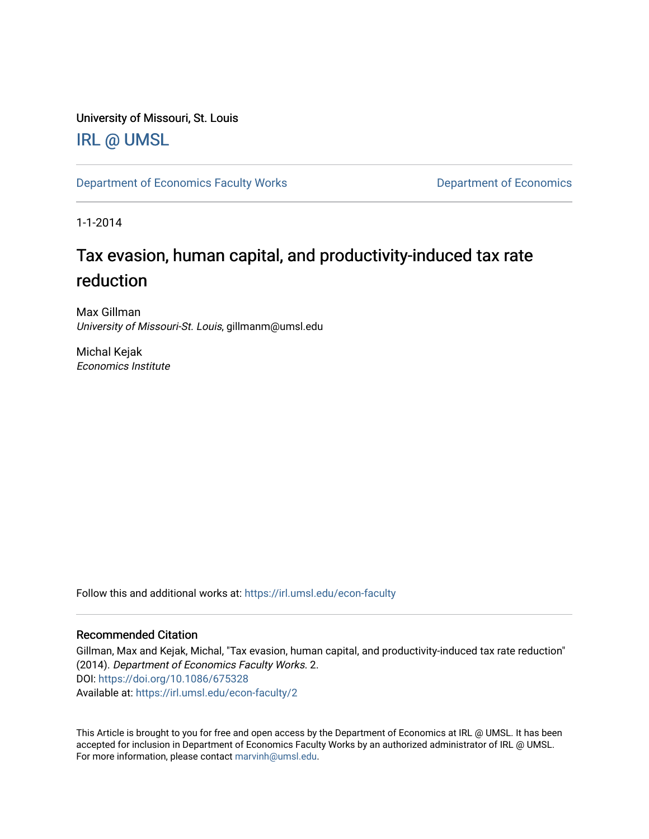University of Missouri, St. Louis

## [IRL @ UMSL](https://irl.umsl.edu/)

[Department of Economics Faculty Works](https://irl.umsl.edu/econ-faculty) **Department of Economics** 

1-1-2014

# Tax evasion, human capital, and productivity-induced tax rate reduction

Max Gillman University of Missouri-St. Louis, gillmanm@umsl.edu

Michal Kejak Economics Institute

Follow this and additional works at: [https://irl.umsl.edu/econ-faculty](https://irl.umsl.edu/econ-faculty?utm_source=irl.umsl.edu%2Fecon-faculty%2F2&utm_medium=PDF&utm_campaign=PDFCoverPages) 

### Recommended Citation

Gillman, Max and Kejak, Michal, "Tax evasion, human capital, and productivity-induced tax rate reduction" (2014). Department of Economics Faculty Works. 2. DOI:<https://doi.org/10.1086/675328> Available at: [https://irl.umsl.edu/econ-faculty/2](https://irl.umsl.edu/econ-faculty/2?utm_source=irl.umsl.edu%2Fecon-faculty%2F2&utm_medium=PDF&utm_campaign=PDFCoverPages) 

This Article is brought to you for free and open access by the Department of Economics at IRL @ UMSL. It has been accepted for inclusion in Department of Economics Faculty Works by an authorized administrator of IRL @ UMSL. For more information, please contact [marvinh@umsl.edu](mailto:marvinh@umsl.edu).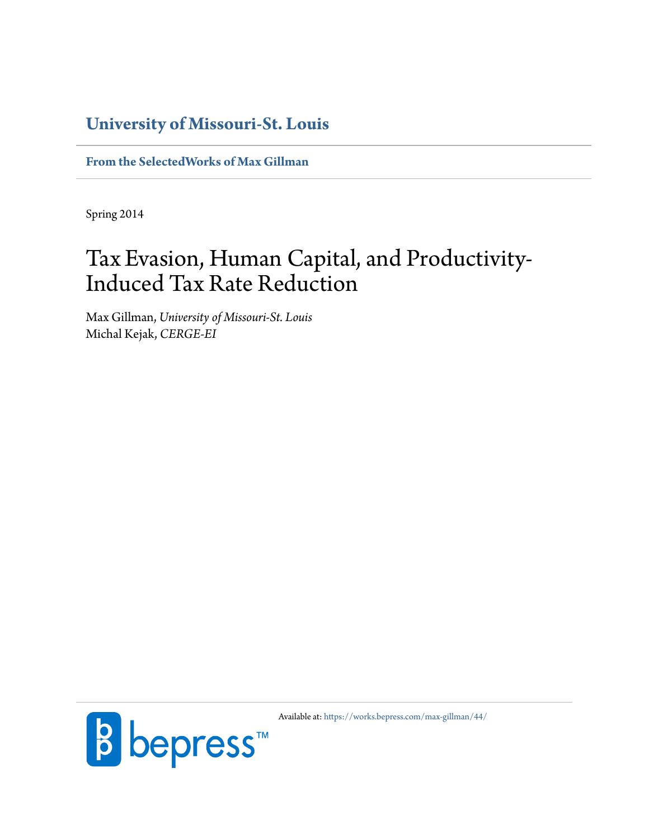## **[University of Missouri-St. Louis](http://www.umsl.edu)**

**[From the SelectedWorks of Max Gillman](https://works.bepress.com/max-gillman/)**

Spring 2014

# Tax Evasion, Human Capital, and Productivity-Induced Tax Rate Reduction

Max Gillman, *University of Missouri-St. Louis* Michal Kejak, *CERGE-EI*



Available at: <https://works.bepress.com/max-gillman/44/>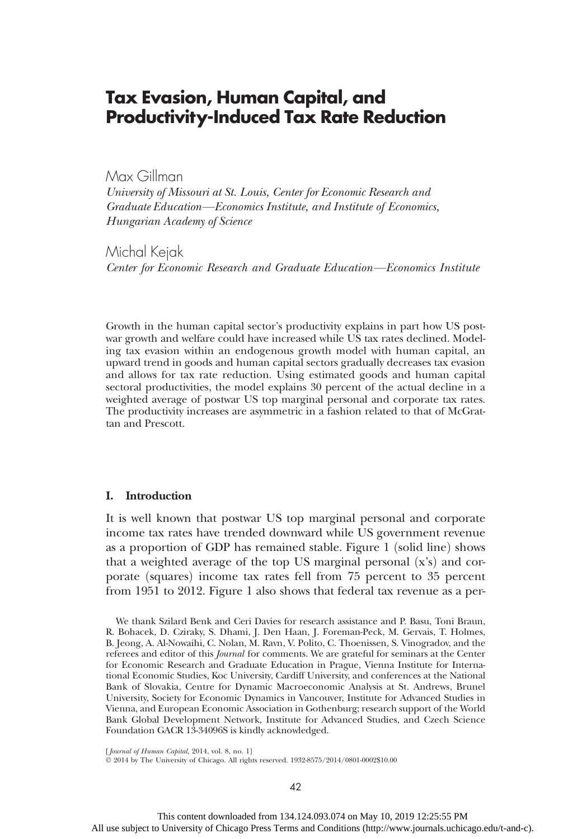### Tax Evasion, Human Capital, and Productivity-Induced Tax Rate Reduction

Max Gillman

University of Missouri at St. Louis, Center for Economic Research and Graduate Education—Economics Institute, and Institute of Economics, Hungarian Academy of Science

Michal Kejak

Center for Economic Research and Graduate Education—Economics Institute

Growth in the human capital sector's productivity explains in part how US postwar growth and welfare could have increased while US tax rates declined. Modeling tax evasion within an endogenous growth model with human capital, an upward trend in goods and human capital sectors gradually decreases tax evasion and allows for tax rate reduction. Using estimated goods and human capital sectoral productivities, the model explains 30 percent of the actual decline in a weighted average of postwar US top marginal personal and corporate tax rates. The productivity increases are asymmetric in a fashion related to that of McGrattan and Prescott.

#### I. Introduction

It is well known that postwar US top marginal personal and corporate income tax rates have trended downward while US government revenue as a proportion of GDP has remained stable. Figure 1 (solid line) shows that a weighted average of the top US marginal personal  $(x's)$  and corporate (squares) income tax rates fell from 75 percent to 35 percent from 1951 to 2012. Figure 1 also shows that federal tax revenue as a per-

We thank Szilard Benk and Ceri Davies for research assistance and P. Basu, Toni Braun, R. Bohacek, D. Cziraky, S. Dhami, J. Den Haan, J. Foreman-Peck, M. Gervais, T. Holmes, B. Jeong, A. Al-Nowaihi, C. Nolan, M. Ravn, V. Polito, C. Thoenissen, S. Vinogradov, and the referees and editor of this Journal for comments. We are grateful for seminars at the Center for Economic Research and Graduate Education in Prague, Vienna Institute for International Economic Studies, Koc University, Cardiff University, and conferences at the National Bank of Slovakia, Centre for Dynamic Macroeconomic Analysis at St. Andrews, Brunel University, Society for Economic Dynamics in Vancouver, Institute for Advanced Studies in Vienna, and European Economic Association in Gothenburg; research support of the World Bank Global Development Network, Institute for Advanced Studies, and Czech Science Foundation GACR 13-34096S is kindly acknowledged.

[Journal of Human Capital, 2014, vol. 8, no. 1]

 $\odot$  2014 by The University of Chicago. All rights reserved. 1932-8575/2014/0801-0002\$10.00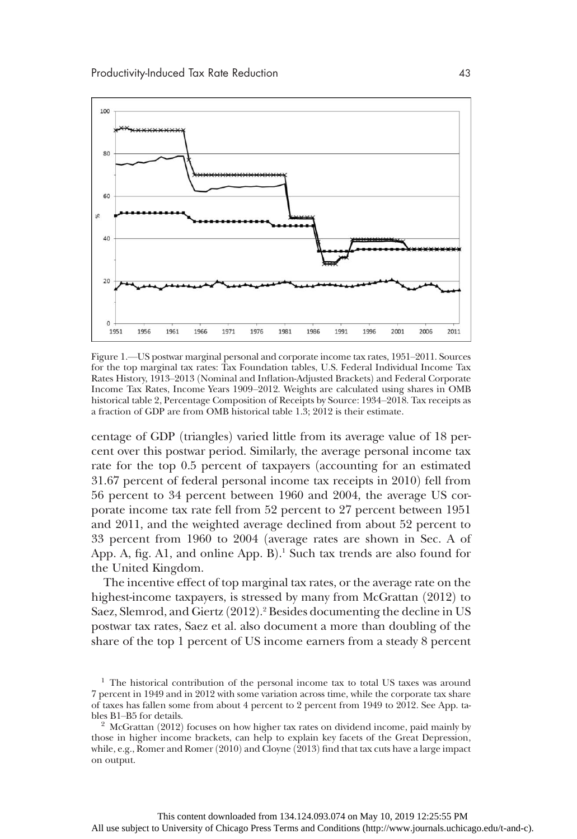

Figure 1.—US postwar marginal personal and corporate income tax rates, 1951–2011. Sources for the top marginal tax rates: Tax Foundation tables, U.S. Federal Individual Income Tax Rates History, 1913–2013 (Nominal and Inflation-Adjusted Brackets) and Federal Corporate Income Tax Rates, Income Years 1909–2012. Weights are calculated using shares in OMB historical table 2, Percentage Composition of Receipts by Source: 1934–2018. Tax receipts as a fraction of GDP are from OMB historical table 1.3; 2012 is their estimate.

centage of GDP (triangles) varied little from its average value of 18 percent over this postwar period. Similarly, the average personal income tax rate for the top 0.5 percent of taxpayers (accounting for an estimated 31.67 percent of federal personal income tax receipts in 2010) fell from 56 percent to 34 percent between 1960 and 2004, the average US corporate income tax rate fell from 52 percent to 27 percent between 1951 and 2011, and the weighted average declined from about 52 percent to 33 percent from 1960 to 2004 (average rates are shown in Sec. A of App. A, fig. A1, and online App. B).<sup>1</sup> Such tax trends are also found for<br>the United Kingdom the United Kingdom.

The incentive effect of top marginal tax rates, or the average rate on the highest-income taxpayers, is stressed by many from McGrattan  $(2012)$  to Saez, Slemrod, and Giertz (2012).<sup>2</sup> Besides documenting the decline in US<br>postwar tax rates. Saez et al. also document a more than doubling of the postwar tax rates, Saez et al. also document a more than doubling of the share of the top 1 percent of US income earners from a steady 8 percent

<sup>&</sup>lt;sup>1</sup> The historical contribution of the personal income tax to total US taxes was around 7 percent in 1949 and in 2012 with some variation across time, while the corporate tax share of taxes has fallen some from about 4 percent to 2 percent from 1949 to 2012. See App. tables B1–B5 for details.<br><sup>2</sup> McGrattan (2012) focuses on how higher tax rates on dividend income, paid mainly by

those in higher income brackets, can help to explain key facets of the Great Depression, while, e.g., Romer and Romer $(2010)$  and Cloyne  $(2013)$  find that tax cuts have a large impact on output.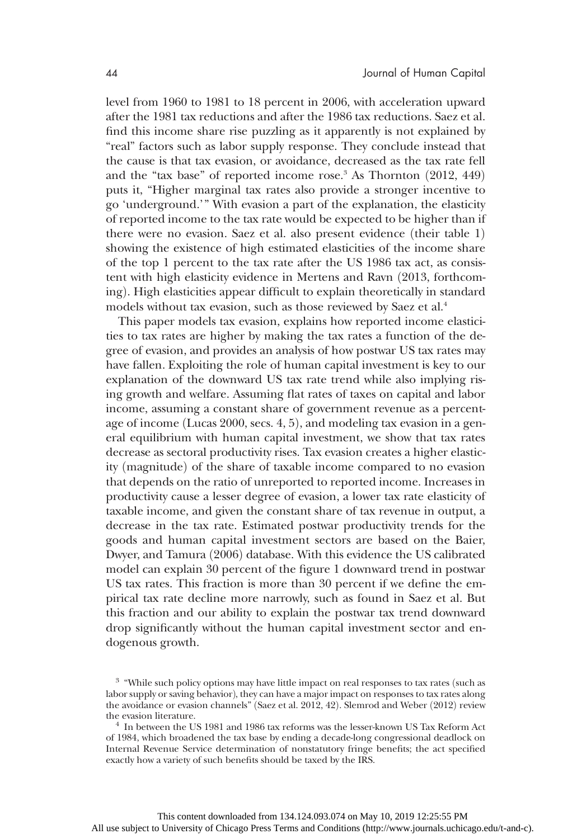level from 1960 to 1981 to 18 percent in 2006, with acceleration upward after the 1981 tax reductions and after the 1986 tax reductions. Saez et al. find this income share rise puzzling as it apparently is not explained by "real" factors such as labor supply response. They conclude instead that the cause is that tax evasion, or avoidance, decreased as the tax rate fell and the "tax base" of reported income rose.<sup>3</sup> As Thornton  $(2012, 449)$ puts it, "Higher marginal tax rates also provide a stronger incentive to go 'underground.'" With evasion a part of the explanation, the elasticity of reported income to the tax rate would be expected to be higher than if there were no evasion. Saez et al. also present evidence (their table  $1$ ) showing the existence of high estimated elasticities of the income share of the top 1 percent to the tax rate after the US 1986 tax act, as consistent with high elasticity evidence in Mertens and Ravn (2013, forthcoming). High elasticities appear difficult to explain theoretically in standard models without tax evasion, such as those reviewed by Saez et al.<sup>4</sup>

This paper models tax evasion, explains how reported income elasticities to tax rates are higher by making the tax rates a function of the degree of evasion, and provides an analysis of how postwar US tax rates may have fallen. Exploiting the role of human capital investment is key to our explanation of the downward US tax rate trend while also implying rising growth and welfare. Assuming flat rates of taxes on capital and labor income, assuming a constant share of government revenue as a percentage of income (Lucas 2000, secs.  $4, 5$ ), and modeling tax evasion in a general equilibrium with human capital investment, we show that tax rates decrease as sectoral productivity rises. Tax evasion creates a higher elasticity (magnitude) of the share of taxable income compared to no evasion that depends on the ratio of unreported to reported income. Increases in productivity cause a lesser degree of evasion, a lower tax rate elasticity of taxable income, and given the constant share of tax revenue in output, a decrease in the tax rate. Estimated postwar productivity trends for the goods and human capital investment sectors are based on the Baier, Dwyer, and Tamura (2006) database. With this evidence the US calibrated model can explain 30 percent of the figure 1 downward trend in postwar US tax rates. This fraction is more than 30 percent if we define the empirical tax rate decline more narrowly, such as found in Saez et al. But this fraction and our ability to explain the postwar tax trend downward drop significantly without the human capital investment sector and endogenous growth.

 $^3\,$  "While such policy options may have little impact on real responses to tax rates (such as labor supply or saving behavior), they can have a major impact on responses to tax rates along the avoidance or evasion channels" (Saez et al. 2012, 42). Slemrod and Weber (2012) review the evasion literature.

 $t$  In between the US 1981 and 1986 tax reforms was the lesser-known US Tax Reform Act of 1984, which broadened the tax base by ending a decade-long congressional deadlock on Internal Revenue Service determination of nonstatutory fringe benefits; the act specified exactly how a variety of such benefits should be taxed by the IRS.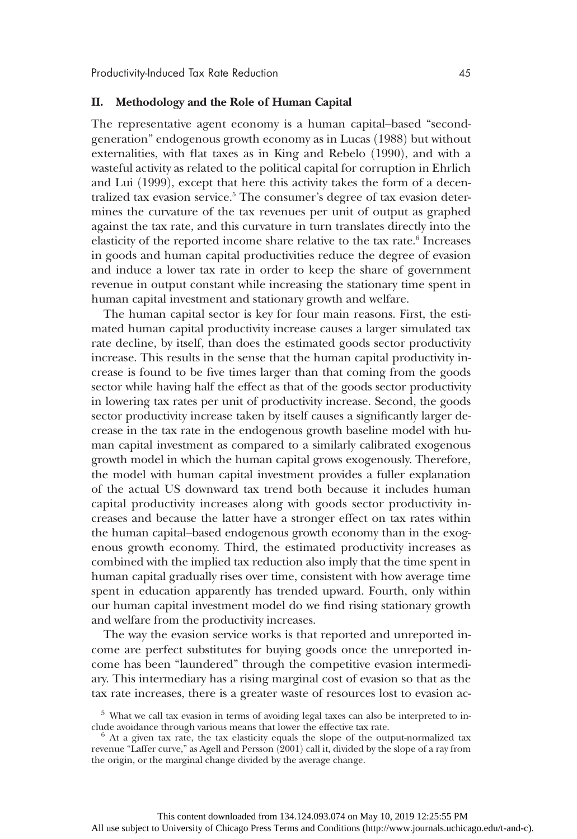#### II. Methodology and the Role of Human Capital

The representative agent economy is a human capital–based "secondgeneration" endogenous growth economy as in Lucas (1988) but without externalities, with flat taxes as in King and Rebelo (1990), and with a wasteful activity as related to the political capital for corruption in Ehrlich and Lui (1999), except that here this activity takes the form of a decentralized tax evasion service.<sup>5</sup> The consumer's degree of tax evasion determines the curvature of the tax revenues per unit of output as graphed against the tax rate, and this curvature in turn translates directly into the elasticity of the reported income share relative to the tax rate.<sup>6</sup> Increases in goods and human capital productivities reduce the degree of evasion and induce a lower tax rate in order to keep the share of government revenue in output constant while increasing the stationary time spent in human capital investment and stationary growth and welfare.

The human capital sector is key for four main reasons. First, the estimated human capital productivity increase causes a larger simulated tax rate decline, by itself, than does the estimated goods sector productivity increase. This results in the sense that the human capital productivity increase is found to be five times larger than that coming from the goods sector while having half the effect as that of the goods sector productivity in lowering tax rates per unit of productivity increase. Second, the goods sector productivity increase taken by itself causes a significantly larger decrease in the tax rate in the endogenous growth baseline model with human capital investment as compared to a similarly calibrated exogenous growth model in which the human capital grows exogenously. Therefore, the model with human capital investment provides a fuller explanation of the actual US downward tax trend both because it includes human capital productivity increases along with goods sector productivity increases and because the latter have a stronger effect on tax rates within the human capital–based endogenous growth economy than in the exogenous growth economy. Third, the estimated productivity increases as combined with the implied tax reduction also imply that the time spent in human capital gradually rises over time, consistent with how average time spent in education apparently has trended upward. Fourth, only within our human capital investment model do we find rising stationary growth and welfare from the productivity increases.

The way the evasion service works is that reported and unreported income are perfect substitutes for buying goods once the unreported income has been "laundered" through the competitive evasion intermediary. This intermediary has a rising marginal cost of evasion so that as the tax rate increases, there is a greater waste of resources lost to evasion ac-

 $5$  What we call tax evasion in terms of avoiding legal taxes can also be interpreted to include avoidance through various means that lower the effective tax rate.

 $\alpha$ <sup>6</sup> At a given tax rate, the tax elasticity equals the slope of the output-normalized tax revenue "Laffer curve," as Agell and Persson (2001) call it, divided by the slope of a ray from the origin, or the marginal change divided by the average change.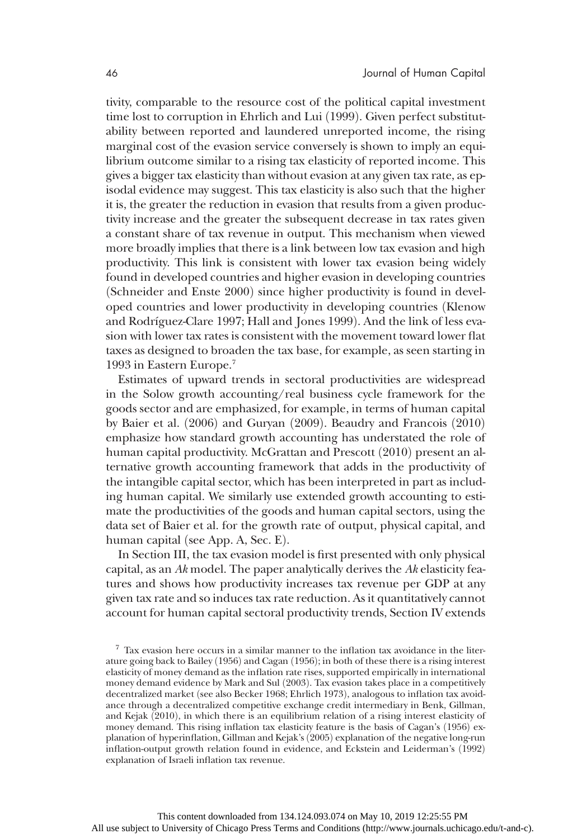tivity, comparable to the resource cost of the political capital investment time lost to corruption in Ehrlich and Lui (1999). Given perfect substitutability between reported and laundered unreported income, the rising marginal cost of the evasion service conversely is shown to imply an equilibrium outcome similar to a rising tax elasticity of reported income. This gives a bigger tax elasticity than without evasion at any given tax rate, as episodal evidence may suggest. This tax elasticity is also such that the higher it is, the greater the reduction in evasion that results from a given productivity increase and the greater the subsequent decrease in tax rates given a constant share of tax revenue in output. This mechanism when viewed more broadly implies that there is a link between low tax evasion and high productivity. This link is consistent with lower tax evasion being widely found in developed countries and higher evasion in developing countries  $(Schneider and Enste 2000)$  since higher productivity is found in developed countries and lower productivity in developing countries (Klenow and Rodríguez-Clare 1997; Hall and Jones 1999). And the link of less evasion with lower tax rates is consistent with the movement toward lower flat taxes as designed to broaden the tax base, for example, as seen starting in 1993 in Eastern Europe.7

Estimates of upward trends in sectoral productivities are widespread in the Solow growth accounting/real business cycle framework for the goods sector and are emphasized, for example, in terms of human capital by Baier et al.  $(2006)$  and Guryan  $(2009)$ . Beaudry and Francois  $(2010)$ emphasize how standard growth accounting has understated the role of human capital productivity. McGrattan and Prescott (2010) present an alternative growth accounting framework that adds in the productivity of the intangible capital sector, which has been interpreted in part as including human capital. We similarly use extended growth accounting to estimate the productivities of the goods and human capital sectors, using the data set of Baier et al. for the growth rate of output, physical capital, and human capital (see App. A, Sec. E).

In Section III, the tax evasion model is first presented with only physical capital, as an Ak model. The paper analytically derives the Ak elasticity features and shows how productivity increases tax revenue per GDP at any given tax rate and so induces tax rate reduction. As it quantitatively cannot account for human capital sectoral productivity trends, Section IV extends

<sup>7</sup> Tax evasion here occurs in a similar manner to the inflation tax avoidance in the literature going back to Bailey (1956) and Cagan  $(1956)$ ; in both of these there is a rising interest elasticity of money demand as the inflation rate rises, supported empirically in international money demand evidence by Mark and Sul (2003). Tax evasion takes place in a competitively decentralized market (see also Becker 1968; Ehrlich 1973), analogous to inflation tax avoidance through a decentralized competitive exchange credit intermediary in Benk, Gillman, and Kejak  $(2010)$ , in which there is an equilibrium relation of a rising interest elasticity of money demand. This rising inflation tax elasticity feature is the basis of Cagan's (1956) explanation of hyperinflation, Gillman and Kejak's (2005) explanation of the negative long-run inflation-output growth relation found in evidence, and Eckstein and Leiderman's (1992) explanation of Israeli inflation tax revenue.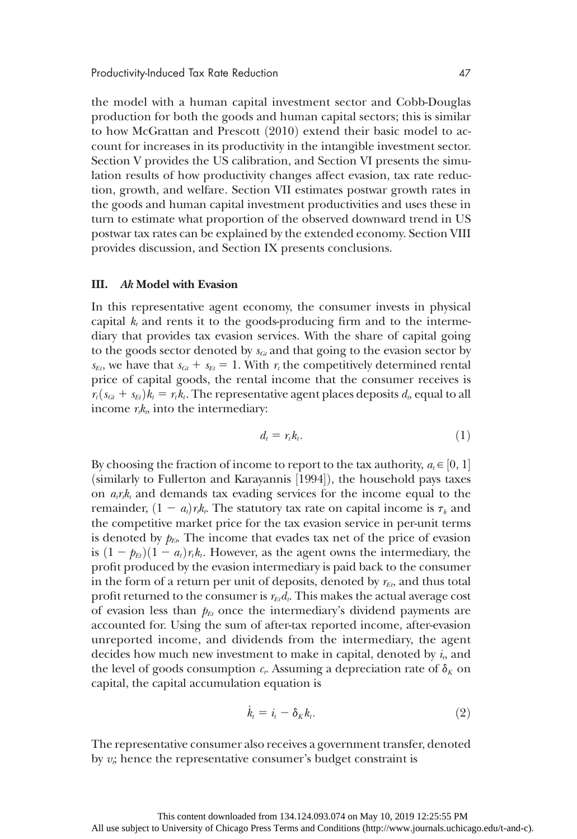the model with a human capital investment sector and Cobb-Douglas production for both the goods and human capital sectors; this is similar to how McGrattan and Prescott (2010) extend their basic model to account for increases in its productivity in the intangible investment sector. Section V provides the US calibration, and Section VI presents the simulation results of how productivity changes affect evasion, tax rate reduction, growth, and welfare. Section VII estimates postwar growth rates in the goods and human capital investment productivities and uses these in turn to estimate what proportion of the observed downward trend in US postwar tax rates can be explained by the extended economy. Section VIII provides discussion, and Section IX presents conclusions.

#### III. Ak Model with Evasion

In this representative agent economy, the consumer invests in physical capital  $k_t$  and rents it to the goods-producing firm and to the intermediary that provides tax evasion services. With the share of capital going to the goods sector denoted by  $s_{Gt}$  and that going to the evasion sector by  $s_{Et}$ , we have that  $s_{Gt} + s_{Et} = 1$ . With  $r_t$  the competitively determined rental price of capital goods, the rental income that the consumer receives is  $r_t(s_{Gt} + s_{Et})k_t = r_t k_t$ . The representative agent places deposits  $d_t$ , equal to all income  $r_k$ , into the intermediary:

$$
d_t = r_t k_t. \tag{1}
$$

By choosing the fraction of income to report to the tax authority,  $a_t \in [0, 1]$ <br>(similarly to Fullerton and Karayannis [1994]), the household navs taxes (similarly to Fullerton and Karayannis [1994]), the household pays taxes<br>on *axk* and demands tax evading services for the income equal to the on  $a_{i}r_{i}k_{i}$  and demands tax evading services for the income equal to the remainder,  $(1 - a_i)r_k$ . The statutory tax rate on capital income is  $\tau_k$  and the competitive market price for the tax evasion service in per-unit terms is denoted by  $p_{Et}$ . The income that evades tax net of the price of evasion is  $(1 - \mathbf{p}_{Et})(1 - a_t)r_t k_t$ . However, as the agent owns the intermediary, the profit produced by the evasion intermediary is paid back to the consumer in the form of a return per unit of deposits, denoted by  $r_{E}$ , and thus total profit returned to the consumer is  $r_{Ed}$ . This makes the actual average cost of evasion less than  $p_{Et}$  once the intermediary's dividend payments are accounted for. Using the sum of after-tax reported income, after-evasion unreported income, and dividends from the intermediary, the agent decides how much new investment to make in capital, denoted by  $i_t$ , and the level of goods consumption  $c_t$ . Assuming a depreciation rate of  $\delta_K$  on capital, the capital accumulation equation is

$$
\dot{k}_i = i_t - \delta_K k_i. \tag{2}
$$

The representative consumer also receives a government transfer, denoted by  $v_i$ ; hence the representative consumer's budget constraint is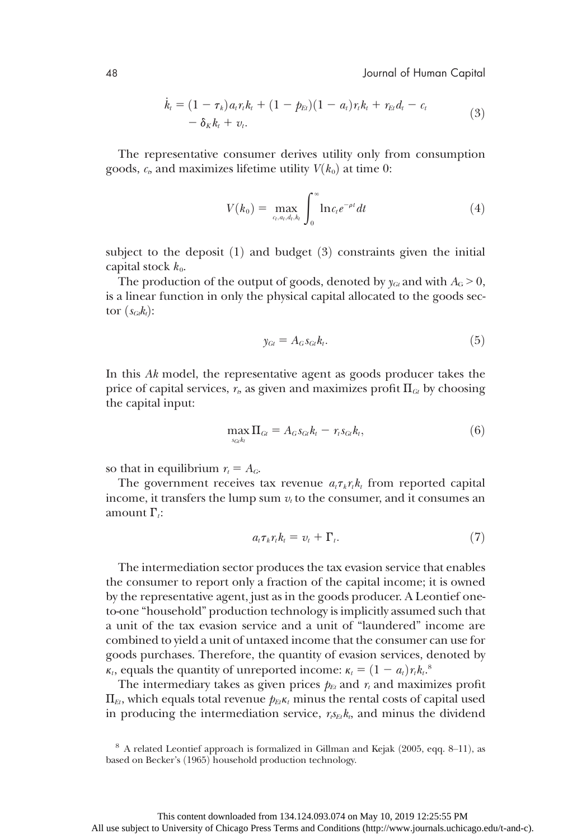$$
\dot{k}_t = (1 - \tau_k) a_t r_t k_t + (1 - p_{Et})(1 - a_t) r_t k_t + r_{Et} d_t - c_t \n- \delta_K k_t + v_t.
$$
\n(3)

The representative consumer derives utility only from consumption goods,  $c_e$ , and maximizes lifetime utility  $V(k_0)$  at time 0:

$$
V(k_0) = \max_{a_i, a_i, d_i, k_i} \int_0^\infty \ln c_i e^{-\rho t} dt \tag{4}
$$

subject to the deposit  $(1)$  and budget  $(3)$  constraints given the initial capital stock  $k_0$ .

The production of the output of goods, denoted by  $y_{Gi}$  and with  $A_G > 0$ , is a linear function in only the physical capital allocated to the goods sector  $(s_{Gt}k_t)$ :

$$
y_{Gi} = A_G s_{Gi} k_t.
$$
\n<sup>(5)</sup>

In this Ak model, the representative agent as goods producer takes the price of capital services,  $r<sub>t</sub>$ , as given and maximizes profit  $\Pi<sub>GL</sub>$  by choosing the capital input:

$$
\max_{s_{G_i}h_l} \Pi_{G_l} = A_G s_{G_l} k_l - r_i s_{G_l} k_l, \tag{6}
$$

so that in equilibrium  $r_t = A_G$ .

The government receives tax revenue  $a_t \tau_k r_t k_t$  from reported capital income, it transfers the lump sum  $v_t$  to the consumer, and it consumes an amount  $\Gamma_i$ :

$$
a_t \tau_k r_t k_t = v_t + \Gamma_t. \tag{7}
$$

The intermediation sector produces the tax evasion service that enables the consumer to report only a fraction of the capital income; it is owned by the representative agent, just as in the goods producer. A Leontief oneto-one "household" production technology is implicitly assumed such that a unit of the tax evasion service and a unit of "laundered" income are combined to yield a unit of untaxed income that the consumer can use for goods purchases. Therefore, the quantity of evasion services, denoted by  $\kappa_t$ , equals the quantity of unreported income:  $\kappa_t = (1 - a_t) r_t k_t$ .<br>The intermediary takes as given prices  $h_t$  and x and maxim

The intermediary takes as given prices  $p_{Et}$  and  $r_t$  and maximizes profit  $\Pi_{Ft}$ , which equals total revenue  $p_{Ft}k_t$  minus the rental costs of capital used in producing the intermediation service,  $r_{sE}k_{t}$ , and minus the dividend

 $8$  A related Leontief approach is formalized in Gillman and Kejak (2005, eqq. 8–11), as based on Becker's (1965) household production technology.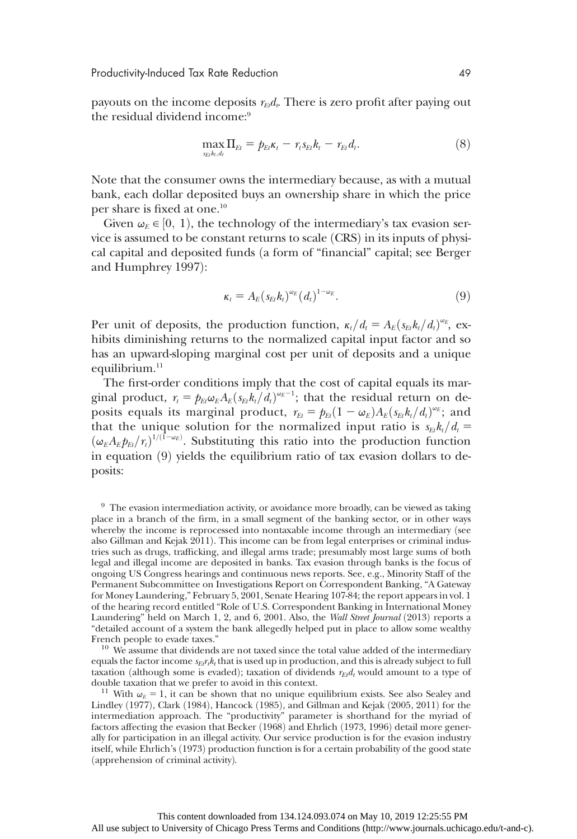Productivity-Induced Tax Rate Reduction 49

payouts on the income deposits  $r_{Ed}$ . There is zero profit after paying out the residual dividend income:<sup>9</sup>

$$
\max_{s_{E_l}h_l,d_l} \Pi_{El} = p_{E_l}K_l - r_{l}s_{El}k_l - r_{El}d_l.
$$
\n(8)

Note that the consumer owns the intermediary because, as with a mutual bank, each dollar deposited buys an ownership share in which the price per share is fixed at one.10

Given  $\omega_{\mathcal{E}} \in [0, 1)$ , the technology of the intermediary's tax evasion service is assumed to be constant returns to scale (CRS) in its inputs of physical capital and deposited funds (a form of "financial" capital; see Berger and Humphrey 1997):

$$
\kappa_t = A_E \left( s_{Et} k_t \right)^{\omega_E} \left( d_t \right)^{1-\omega_E} . \tag{9}
$$

Per unit of deposits, the production function,  $\kappa_t/d_t = A_E (s_{Et} k_t/d_t)^{\omega_E}$ , ex-<br>bibits diminishing returns to the normalized capital input factor and so hibits diminishing returns to the normalized capital input factor and so has an upward-sloping marginal cost per unit of deposits and a unique equilibrium.<sup>11</sup>

The first-order conditions imply that the cost of capital equals its marginal product,  $r_t = p_{Et} \omega_E A_E (s_{Et} k_t / d_t)^{\omega_E - 1}$ ; that the residual return on de-<br>posits equals its marginal product  $r_x = h_x (1 - \omega_x) A_E (s_x k / d)^{\omega_E}$ ; and posits equals its marginal product,  $r_{Et} = p_{Et}(1 - \omega_E)A_E(s_{Et}k_t/d_t)^{\omega_E}$ ; and that the unique solution for the normalized input ratio is  $\epsilon_k k/d =$ that the unique solution for the normalized input ratio is  $s_{Et}k_t/d_t=$  $(\omega_E A_E p_{Et}/r_i)^{1/(1-\omega_E)}$ . Substituting this ratio into the production function<br>in equation (9) yields the equilibrium ratio of tax evasion dollars to dein equation  $(9)$  yields the equilibrium ratio of tax evasion dollars to deposits:

<sup>9</sup> The evasion intermediation activity, or avoidance more broadly, can be viewed as taking place in a branch of the firm, in a small segment of the banking sector, or in other ways whereby the income is reprocessed into nontaxable income through an intermediary (see also Gillman and Kejak 2011). This income can be from legal enterprises or criminal industries such as drugs, trafficking, and illegal arms trade; presumably most large sums of both legal and illegal income are deposited in banks. Tax evasion through banks is the focus of ongoing US Congress hearings and continuous news reports. See, e.g., Minority Staff of the Permanent Subcommittee on Investigations Report on Correspondent Banking, "A Gateway for Money Laundering," February 5, 2001, Senate Hearing 107-84; the report appears in vol. 1 of the hearing record entitled "Role of U.S. Correspondent Banking in International Money Laundering" held on March 1, 2, and 6, 2001. Also, the Wall Street Journal (2013) reports a "detailed account of a system the bank allegedly helped put in place to allow some wealthy French people to evade taxes."  $10$  We assume that dividends are not taxed since the total value added of the intermediary

equals the factor income  $s_{Ei}r_{ik}$  that is used up in production, and this is already subject to full taxation (although some is evaded); taxation of dividends  $r_{Et}d_t$  would amount to a type of double taxation that we prefer to avoid in this context.

<sup>11</sup> With  $\omega_E = 1$ , it can be shown that no unique equilibrium exists. See also Sealey and Lindley (1977), Clark (1984), Hancock (1985), and Gillman and Kejak (2005, 2011) for the intermediation approach. The "productivity" parameter is shorthand for the myriad of factors affecting the evasion that Becker (1968) and Ehrlich (1973, 1996) detail more generally for participation in an illegal activity. Our service production is for the evasion industry itself, while Ehrlich's (1973) production function is for a certain probability of the good state (apprehension of criminal activity).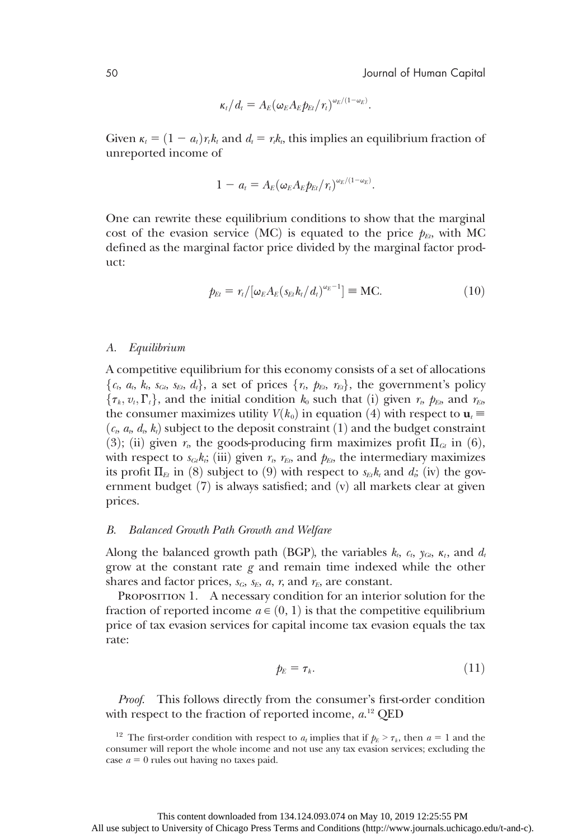$$
\kappa_t/d_t = A_E (\omega_E A_E p_{Et}/r_t)^{\omega_E/(1-\omega_E)}.
$$

Given  $\kappa_t = (1 - a_t)r_t k_t$  and  $d_t = r_t k_t$ , this implies an equilibrium fraction of unreported income of

$$
1-a_t=A_E(\omega_E A_E p_{Et}/r_t)^{\omega_E/(1-\omega_E)}.
$$

One can rewrite these equilibrium conditions to show that the marginal cost of the evasion service (MC) is equated to the price  $p_{E}$ , with MC defined as the marginal factor price divided by the marginal factor product:

$$
p_{E_l} = r_l/[\omega_E A_E (s_{E_l} k_l / d_l)^{\omega_E - 1}] \equiv \text{MC.}
$$
 (10)

#### A. Equilibrium

A competitive equilibrium for this economy consists of a set of allocations  $\{c_t, a_t, k_t, s_{Gt}, s_{Et}, d_t\}$ , a set of prices  $\{r_t, p_{Et}, r_{Et}\}$ , the government's policy  $\{\tau_k, v_t, \Gamma_t\}$ , and the initial condition  $k_0$  such that (i) given  $r_b$ ,  $p_{Eb}$  and  $r_{Eb}$ the consumer maximizes utility  $V(k_0)$  in equation (4) with respect to  $\mathbf{u}_t \equiv$  $(c_t, a_t, d_t, k_t)$  subject to the deposit constraint (1) and the budget constraint (3); (ii) given  $r_b$ , the goods-producing firm maximizes profit  $\Pi_{\text{Gt}}$  in (6), with respect to  $s_{\text{G}}k_i$ ; (iii) given  $r_t$ ,  $r_{\text{E}}$ , and  $p_{\text{E}}$ , the intermediary maximizes its profit  $\Pi_{E}$  in (8) subject to (9) with respect to  $s_{E}k_{t}$  and  $d_{i}$ ; (iv) the government budget  $(7)$  is always satisfied; and  $(v)$  all markets clear at given prices.

#### B. Balanced Growth Path Growth and Welfare

Along the balanced growth path (BGP), the variables  $k_t$ ,  $c_t$ ,  $y_{Gt}$ ,  $\kappa_t$ , and  $d_t$ grow at the constant rate  $g$  and remain time indexed while the other shares and factor prices,  $s_G$ ,  $s_E$ ,  $a$ ,  $r$ , and  $r_E$ , are constant.

PROPOSITION 1. A necessary condition for an interior solution for the fraction of reported income  $a \in (0, 1)$  is that the competitive equilibrium price of tax evasion services for capital income tax evasion equals the tax rate:

$$
\rho_E = \tau_k. \tag{11}
$$

Proof. This follows directly from the consumer's first-order condition with respect to the fraction of reported income,  $a^{12}$  QED

<sup>&</sup>lt;sup>12</sup> The first-order condition with respect to  $a_t$  implies that if  $p_E > \tau_k$ , then  $a = 1$  and the consumer will report the whole income and not use any tax evasion services; excluding the case  $a = 0$  rules out having no taxes paid.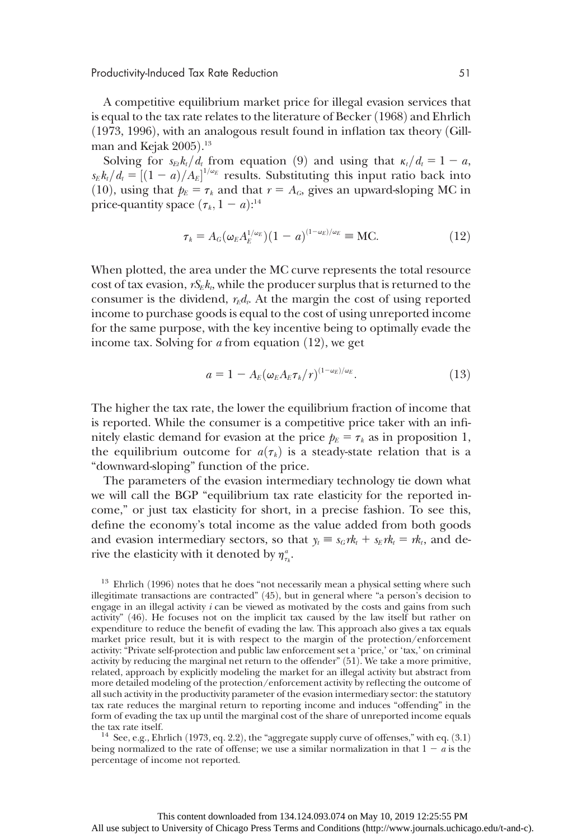Productivity-Induced Tax Rate Reduction 51

A competitive equilibrium market price for illegal evasion services that is equal to the tax rate relates to the literature of Becker (1968) and Ehrlich  $(1973, 1996)$ , with an analogous result found in inflation tax theory  $(Gill$ man and Kejak 2005).<sup>13</sup><br>Solving for sek/d f

Solving for  $s_{Et}k_t/d_t$  from equation (9) and using that  $\kappa_t/d_t=1 - a$ ,  $s_E k_t/d_t = [(1-a)/A_E]^{1/\omega_E}$  results. Substituting this input ratio back into  $(10)$  using that  $b = \tau$ , and that  $r = A$ , gives an unward-sloping MC in (10), using that  $p_E = \tau_k$  and that  $r = A_G$ , gives an upward-sloping MC in price-quantity space  $(\tau_k, 1 - a)$ :<sup>14</sup>

$$
\tau_k = A_G(\omega_E A_E^{1/\omega_E})(1 - a)^{(1 - \omega_E)/\omega_E} \equiv \text{MC}.
$$
\n(12)

When plotted, the area under the MC curve represents the total resource cost of tax evasion,  $rS_{E}k_{t}$ , while the producer surplus that is returned to the consumer is the dividend,  $r_{E}d_{v}$ . At the margin the cost of using reported income to purchase goods is equal to the cost of using unreported income for the same purpose, with the key incentive being to optimally evade the income tax. Solving for  $\alpha$  from equation (12), we get

$$
a = 1 - A_E(\omega_E A_E \tau_k / r)^{(1 - \omega_E)/\omega_E}.
$$
\n(13)

The higher the tax rate, the lower the equilibrium fraction of income that is reported. While the consumer is a competitive price taker with an infinitely elastic demand for evasion at the price  $p_E = \tau_k$  as in proposition 1, the equilibrium outcome for  $a(\tau_k)$  is a steady-state relation that is a "downward-sloping" function of the price.

The parameters of the evasion intermediary technology tie down what we will call the BGP "equilibrium tax rate elasticity for the reported income," or just tax elasticity for short, in a precise fashion. To see this, define the economy's total income as the value added from both goods and evasion intermediary sectors, so that  $y_t \equiv s_G r k_t + s_E r k_t = r k_t$ , and derive the elasticity with it denoted by  $\eta_{\tau_k}^a$ .

 $13$  Ehrlich (1996) notes that he does "not necessarily mean a physical setting where such illegitimate transactions are contracted" (45), but in general where "a person's decision to engage in an illegal activity  $i$  can be viewed as motivated by the costs and gains from such activity" (46). He focuses not on the implicit tax caused by the law itself but rather on expenditure to reduce the benefit of evading the law. This approach also gives a tax equals market price result, but it is with respect to the margin of the protection/enforcement activity: "Private self-protection and public law enforcement set a 'price,' or 'tax,' on criminal activity by reducing the marginal net return to the offender" ð51Þ. We take a more primitive, related, approach by explicitly modeling the market for an illegal activity but abstract from more detailed modeling of the protection/enforcement activity by reflecting the outcome of all such activity in the productivity parameter of the evasion intermediary sector: the statutory tax rate reduces the marginal return to reporting income and induces "offending" in the form of evading the tax up until the marginal cost of the share of unreported income equals

the tax rate itself. 14 See, e.g., Ehrlich (1973, eq. 2.2), the "aggregate supply curve of offenses," with eq.  $(3.1)$ being normalized to the rate of offense; we use a similar normalization in that  $1 - a$  is the percentage of income not reported.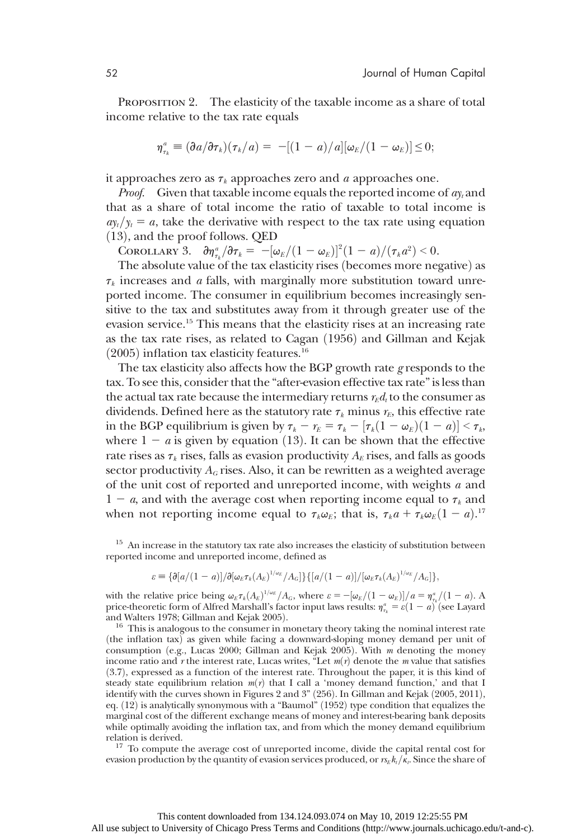PROPOSITION 2. The elasticity of the taxable income as a share of total income relative to the tax rate equals

$$
\eta_{\tau_k}^a \equiv \left(\frac{\partial a}{\partial \tau_k}\right)(\tau_k/a) = -[(1-a)/a][\omega_E/(1-\omega_E)] \leq 0;
$$

it approaches zero as  $\tau_k$  approaches zero and a approaches one.

*Proof.* Given that taxable income equals the reported income of  $a_{y_t}$  and that as a share of total income the ratio of taxable to total income is  $a_{y_t}/y_t=a$ , take the derivative with respect to the tax rate using equation  $(13)$ , and the proof follows. QED

COROLLARY 3.  $\partial \eta_{\tau_k}^a/\partial \tau_k = -[\omega_E/(1-\omega_E)]^2(1-a)/(\tau_k a^2) < 0.$ <br>The absolute value of the tax elasticity rises (becomes more neg

The absolute value of the tax elasticity rises (becomes more negative) as  $\tau_k$  increases and *a* falls, with marginally more substitution toward unreported income. The consumer in equilibrium becomes increasingly sensitive to the tax and substitutes away from it through greater use of the evasion service.15 This means that the elasticity rises at an increasing rate as the tax rate rises, as related to Cagan (1956) and Gillman and Kejak  $(2005)$  inflation tax elasticity features.<sup>16</sup>

The tax elasticity also affects how the BGP growth rate g responds to the tax. To see this, consider that the "after-evasion effective tax rate" is less than the actual tax rate because the intermediary returns  $r_E d_t$  to the consumer as dividends. Defined here as the statutory rate  $\tau_k$  minus  $r_E$ , this effective rate in the BGP equilibrium is given by  $\tau_k - r_E = \tau_k - [\tau_k(1 - \omega_E)(1 - a)] < \tau_k$ ,<br>where  $1 - a$  is given by equation (13). It can be shown that the effective where  $1 - a$  is given by equation (13). It can be shown that the effective rate rises as  $\tau_k$  rises, falls as evasion productivity  $A_E$  rises, and falls as goods sector productivity  $A_G$  rises. Also, it can be rewritten as a weighted average of the unit cost of reported and unreported income, with weights a and  $1 - a$ , and with the average cost when reporting income equal to  $\tau_k$  and when not reporting income equal to  $\tau_k \omega_E$ ; that is,  $\tau_k a + \tau_k \omega_E (1 - a)$ .<sup>17</sup>

<sup>15</sup> An increase in the statutory tax rate also increases the elasticity of substitution between reported income and unreported income, defined as

$$
\varepsilon \equiv {\partial [a/(1-a)]/\partial [\omega_E \tau_k(A_E)^{1/\omega_E}/A_G]} \{ [a/(1-a)]/[\omega_E \tau_k(A_E)^{1/\omega_E}/A_G] \},
$$

with the relative price being  $\omega_E \tau_k (A_E)^{1/\omega_E}/A_G$ , where  $\varepsilon = -[\omega_E/(1-\omega_E)]/a = \eta_{\tau_k}^a/(1-a)$ . A price-theoretic form of Alfred Marshall's factor input laws results:  $\eta^a = \varepsilon (1-a)$  (see Lavard price-theoretic form of Alfred Marshall's factor input laws results:  $\eta_{\tau_k}^a = \varepsilon (1 - a)$  (see Layard and Walters 1978: Gillman and Keiak 2005) and Walters 1978; Gillman and Kejak 2005).<br> $16$  This is analogous to the consumer in monetary theory taking the nominal interest rate

(the inflation tax) as given while facing a downward-sloping money demand per unit of consumption (e.g., Lucas 2000; Gillman and Kejak 2005). With  $m$  denoting the money income ratio and r the interest rate, Lucas writes, "Let  $m(r)$  denote the m value that satisfies (3.7), expressed as a function of the interest rate. Throughout the paper, it is this kind of steady state equilibrium relation  $m(r)$  that I call a 'money demand function,' and that I identify with the curves shown in Figures 2 and 3" (256). In Gillman and Kejak (2005, 2011), eq.  $(12)$  is analytically synonymous with a "Baumol"  $(1952)$  type condition that equalizes the marginal cost of the different exchange means of money and interest-bearing bank deposits while optimally avoiding the inflation tax, and from which the money demand equilibrium relation is derived.

 $17$  To compute the average cost of unreported income, divide the capital rental cost for evasion production by the quantity of evasion services produced, or  $r_{k}/\kappa$ . Since the share of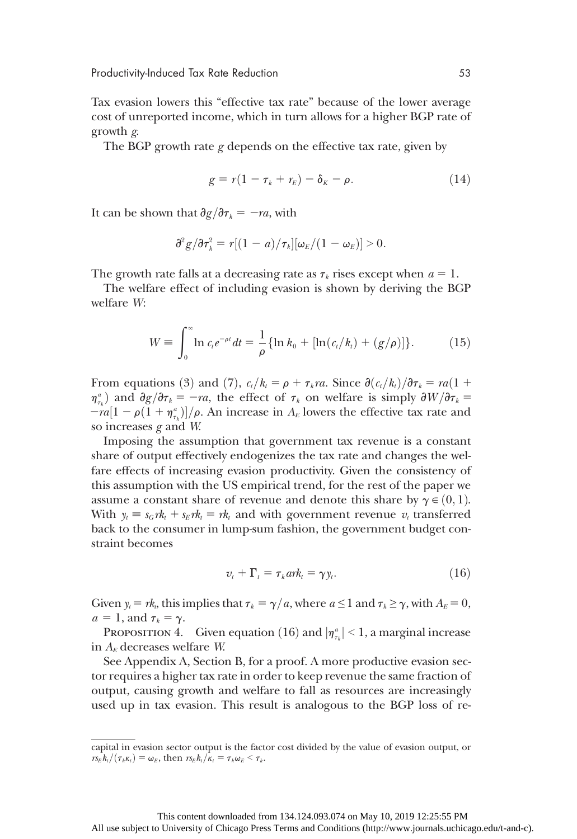Tax evasion lowers this "effective tax rate" because of the lower average cost of unreported income, which in turn allows for a higher BGP rate of growth g.

The BGP growth rate  $g$  depends on the effective tax rate, given by

$$
g = r(1 - \tau_k + r_E) - \delta_K - \rho. \tag{14}
$$

It can be shown that  $\partial g/\partial \tau_k = -ra$ , with

$$
\partial^2 g/\partial \tau_k^2 = r[(1-a)/\tau_k][\omega_E/(1-\omega_E)] > 0.
$$

The growth rate falls at a decreasing rate as  $\tau_k$  rises except when  $a = 1$ .

The welfare effect of including evasion is shown by deriving the BGP welfare W:

$$
W = \int_0^\infty \ln c_t e^{-\rho t} dt = \frac{1}{\rho} \{ \ln k_0 + [\ln(c_t/k_t) + (g/\rho)] \}.
$$
 (15)

From equations (3) and (7),  $c_t/k_t = \rho + \tau_k ra$ . Since  $\partial (c_t/k_t)/\partial \tau_k = ra(1 +$  $\eta_{\tau_k}^a$  and  $\partial g/\partial \tau_k = -ra$ , the effect of  $\tau_k$  on welfare is simply  $\partial W/\partial \tau_k = -ra(1-a(1+a^a))/a$ . An increase in A<sub>r</sub> lowers the effective tax rate and  $=ra[1 - \rho(1 + \eta_{\tau_k}^a)]/\rho$ . An increase in  $A_E$  lowers the effective tax rate and so increases  $\sigma$  and W so increases  $g$  and  $W$ .

Imposing the assumption that government tax revenue is a constant share of output effectively endogenizes the tax rate and changes the welfare effects of increasing evasion productivity. Given the consistency of this assumption with the US empirical trend, for the rest of the paper we assume a constant share of revenue and denote this share by  $\gamma \in (0, 1)$ . With  $y_t \equiv s_G r k_t + s_E r k_t = r k_t$  and with government revenue  $v_t$  transferred back to the consumer in lump-sum fashion, the government budget constraint becomes

$$
v_t + \Gamma_t = \tau_k ar k_t = \gamma y_t.
$$
 (16)

Given  $y_t = r k_t$ , this implies that  $\tau_k = \gamma/a$ , where  $a \le 1$  and  $\tau_k \ge \gamma$ , with  $A_E = 0$ ,  $a = 1$ , and  $\tau_k = \gamma$ .

PROPOSITION 4. Given equation (16) and  $|\eta_{\tau_k}^a| < 1$ , a marginal increase A-decreases welfare W in  $A<sub>E</sub>$  decreases welfare W.

See Appendix A, Section B, for a proof. A more productive evasion sector requires a higher tax rate in order to keep revenue the same fraction of output, causing growth and welfare to fall as resources are increasingly used up in tax evasion. This result is analogous to the BGP loss of re-

capital in evasion sector output is the factor cost divided by the value of evasion output, or  $r s_E k_t/(\tau_k \kappa_t) = \omega_E$ , then  $r s_E k_t/\kappa_t = \tau_k \omega_E < \tau_k$ .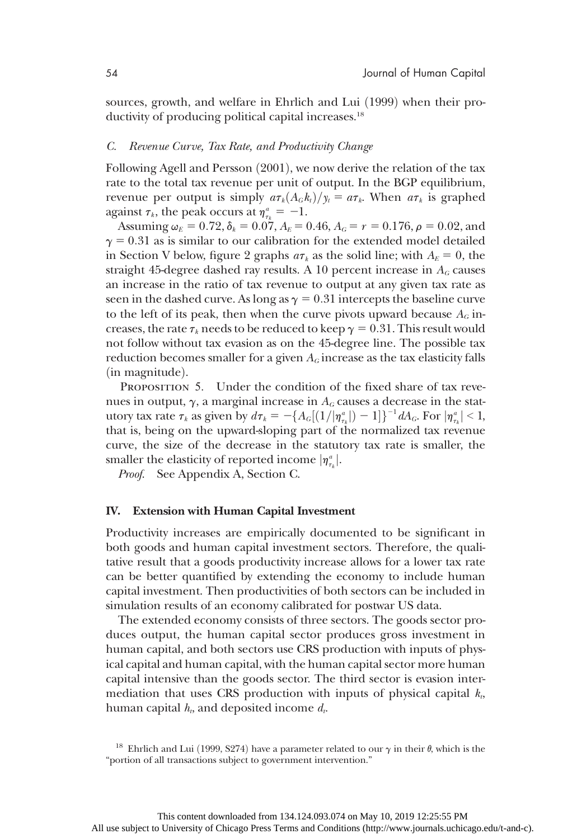sources, growth, and welfare in Ehrlich and Lui (1999) when their productivity of producing political capital increases.<sup>18</sup>

#### C. Revenue Curve, Tax Rate, and Productivity Change

Following Agell and Persson  $(2001)$ , we now derive the relation of the tax rate to the total tax revenue per unit of output. In the BGP equilibrium, revenue per output is simply  $a\tau_k(A_G k_t)/\gamma_t=a\tau_k$ . When  $a\tau_k$  is graphed against  $\tau_k$ , the peak occurs at  $\eta_{\tau_k}^a = -1$ .

Assuming  $\omega_E = 0.72$ ,  $\delta_k = 0.07$ ,  $A_E = 0.46$ ,  $A_G = r = 0.176$ ,  $\rho = 0.02$ , and  $\gamma = 0.31$  as is similar to our calibration for the extended model detailed in Section V below, figure 2 graphs  $a\tau_k$  as the solid line; with  $A_E = 0$ , the straight 45-degree dashed ray results. A 10 percent increase in  $A_G$  causes an increase in the ratio of tax revenue to output at any given tax rate as seen in the dashed curve. As long as  $\gamma = 0.31$  intercepts the baseline curve to the left of its peak, then when the curve pivots upward because  $A_G$  increases, the rate  $\tau_k$  needs to be reduced to keep  $\gamma = 0.31$ . This result would not follow without tax evasion as on the 45-degree line. The possible tax reduction becomes smaller for a given  $A_G$  increase as the tax elasticity falls  $(in$  magnitude $).$ 

PROPOSITION 5. Under the condition of the fixed share of tax revenues in output,  $\gamma$ , a marginal increase in  $A_G$  causes a decrease in the statutory tax rate  $\tau_k$  as given by  $d\tau_k = -\{A_G[(1/|\eta_{\tau_k}^a|)-1]\}^{-1}dA_G$ . For  $|\eta_{\tau_k}^a| < 1$ , that is being on the unward-sloping part of the normalized tax revenue that is, being on the upward-sloping part of the normalized tax revenue curve, the size of the decrease in the statutory tax rate is smaller, the smaller the elasticity of reported income  $|\eta_{\tau_k}^a|$ .<br>Proof See Appendix A Section C

Proof. See Appendix A, Section C.

#### IV. Extension with Human Capital Investment

Productivity increases are empirically documented to be significant in both goods and human capital investment sectors. Therefore, the qualitative result that a goods productivity increase allows for a lower tax rate can be better quantified by extending the economy to include human capital investment. Then productivities of both sectors can be included in simulation results of an economy calibrated for postwar US data.

The extended economy consists of three sectors. The goods sector produces output, the human capital sector produces gross investment in human capital, and both sectors use CRS production with inputs of physical capital and human capital, with the human capital sector more human capital intensive than the goods sector. The third sector is evasion intermediation that uses CRS production with inputs of physical capital  $k<sub>t</sub>$ , human capital  $h_t$ , and deposited income  $d_t$ .

<sup>&</sup>lt;sup>18</sup> Ehrlich and Lui (1999, S274) have a parameter related to our  $\gamma$  in their  $\theta$ , which is the "portion of all transactions subject to government intervention."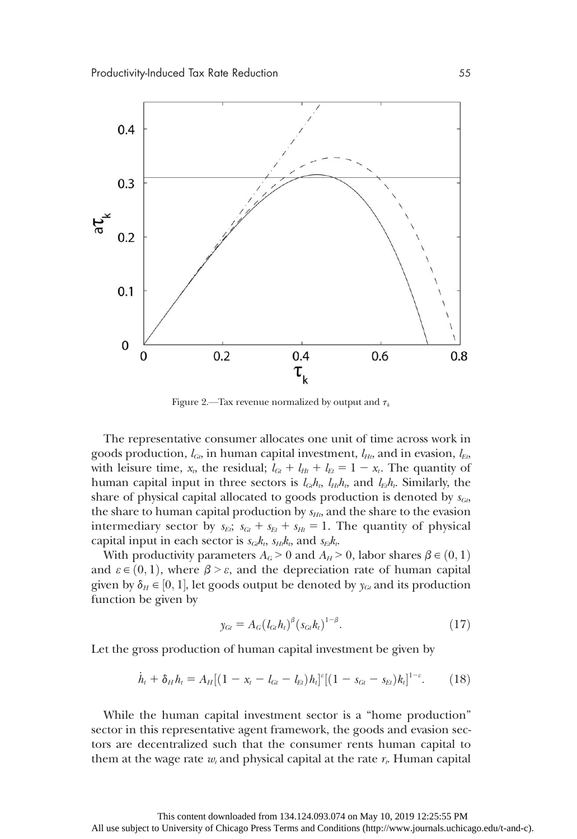

Figure 2.—Tax revenue normalized by output and  $\tau_k$ 

The representative consumer allocates one unit of time across work in goods production,  $l_{G_t}$  in human capital investment,  $l_{Ht}$ , and in evasion,  $l_{E_t}$ , with leisure time,  $x_t$ , the residual;  $l_{\text{Gt}} + l_{\text{Ht}} + l_{\text{Et}} = 1 - x_t$ . The quantity of human capital input in three sectors is  $l_{G_l}h_t$ ,  $l_{H_l}h_t$ , and  $l_{E_l}h_t$ . Similarly, the share of physical capital allocated to goods production is denoted by  $s_{G_t}$ , the share to human capital production by  $s_{Ht}$ , and the share to the evasion intermediary sector by  $s_{Ei}$ ;  $s_{Gt} + s_{Et} + s_{Ht} = 1$ . The quantity of physical capital input in each sector is  $s_{G_i}k_t$ ,  $s_{H_i}k_t$ , and  $s_{E_i}k_t$ .

With productivity parameters  $A_G > 0$  and  $A_H > 0$ , labor shares  $\beta \in (0, 1)$ and  $\varepsilon \in (0,1)$ , where  $\beta > \varepsilon$ , and the depreciation rate of human capital given by  $\delta_H \in [0, 1]$ , let goods output be denoted by  $y_{\text{Gt}}$  and its production<br>function be given by function be given by

$$
y_{Gt} = A_G (l_{Gt} h_t)^{\beta} (s_{Gt} k_t)^{1-\beta}.
$$
 (17)

Let the gross production of human capital investment be given by

$$
\dot{h}_t + \delta_H h_t = A_H [(1 - x_t - l_{Gt} - l_{Et}) h_t]^{\varepsilon} [(1 - s_{Gt} - s_{Et}) k_t]^{1-\varepsilon}.
$$
 (18)

While the human capital investment sector is a "home production" sector in this representative agent framework, the goods and evasion sectors are decentralized such that the consumer rents human capital to them at the wage rate  $w_t$  and physical capital at the rate  $r_t$ . Human capital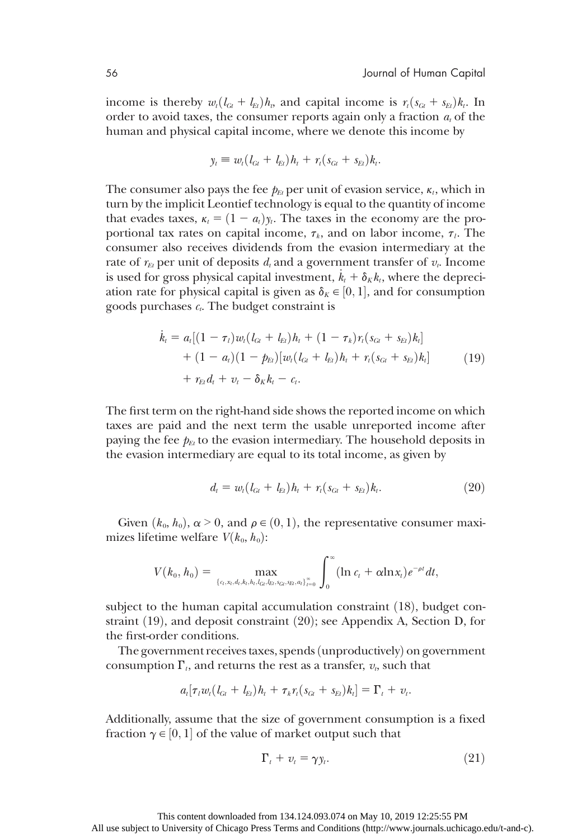income is thereby  $w_t(l_{Gt} + l_{Et})h_t$ , and capital income is  $r_t(s_{Gt} + s_{Et})k_t$ . In order to avoid taxes, the consumer reports again only a fraction  $a_t$  of the human and physical capital income, where we denote this income by

$$
y_t \equiv w_t (l_{Gt} + l_{Et}) h_t + r_t (s_{Gt} + s_{Et}) k_t.
$$

The consumer also pays the fee  $p_{Et}$  per unit of evasion service,  $\kappa_t$ , which in turn by the implicit Leontief technology is equal to the quantity of income that evades taxes,  $\kappa_t = (1 - a_t)\gamma_t$ . The taxes in the economy are the proportional tax rates on capital income,  $\tau_k$ , and on labor income,  $\tau_l$ . The consumer also receives dividends from the evasion intermediary at the rate of  $r_{Et}$  per unit of deposits  $d_t$  and a government transfer of  $v_t$ . Income is used for gross physical capital investment,  $k_t + \delta_K k_t$ , where the depreciation rate for physical capital is given as  $\delta_K \in [0, 1]$ , and for consumption goods purchases  $\epsilon$ . The budget constraint is goods purchases  $c_t$ . The budget constraint is

$$
\dot{k}_t = a_t[(1 - \tau_t)w_t(l_{Gt} + l_{Et})h_t + (1 - \tau_k)r_t(s_{Gt} + s_{Et})k_t] \n+ (1 - a_t)(1 - p_{Et})[w_t(l_{Gt} + l_{Et})h_t + r_t(s_{Gt} + s_{Et})k_t] \n+ r_{Et}d_t + v_t - \delta_K k_t - c_t.
$$
\n(19)

The first term on the right-hand side shows the reported income on which taxes are paid and the next term the usable unreported income after paying the fee  $p_{Et}$  to the evasion intermediary. The household deposits in the evasion intermediary are equal to its total income, as given by

$$
d_t = w_t (l_{G_t} + l_{Et}) h_t + r_t (s_{G_t} + s_{Et}) k_t.
$$
\n(20)

Given  $(k_0, h_0)$ ,  $\alpha > 0$ , and  $\rho \in (0, 1)$ , the representative consumer maximizes lifetime welfare  $V(k_0, h_0)$ :

$$
V(k_0, h_0) = \max_{\{c_t, x_t, d_t, k_t, h_t, l_{G_t}, l_{G_t}, s_{G_t}, s_{Et}, a_t\}_{t=0}^{\infty}} \int_{0}^{\infty} (\ln c_t + \alpha \ln x_t) e^{-\rho t} dt,
$$

subject to the human capital accumulation constraint  $(18)$ , budget constraint  $(19)$ , and deposit constraint  $(20)$ ; see Appendix A, Section D, for the first-order conditions.

The government receives taxes, spends (unproductively) on government consumption  $\Gamma_t$ , and returns the rest as a transfer,  $v_t$ , such that

$$
a_t[\tau_i w_t (l_{Gt}+l_{Et}) h_t + \tau_k r_t (s_{Gt}+s_{Et}) k_t]=\Gamma_t + v_t.
$$

Additionally, assume that the size of government consumption is a fixed fraction  $\gamma \in [0,1]$  of the value of market output such that

$$
\Gamma_t + v_t = \gamma y_t. \tag{21}
$$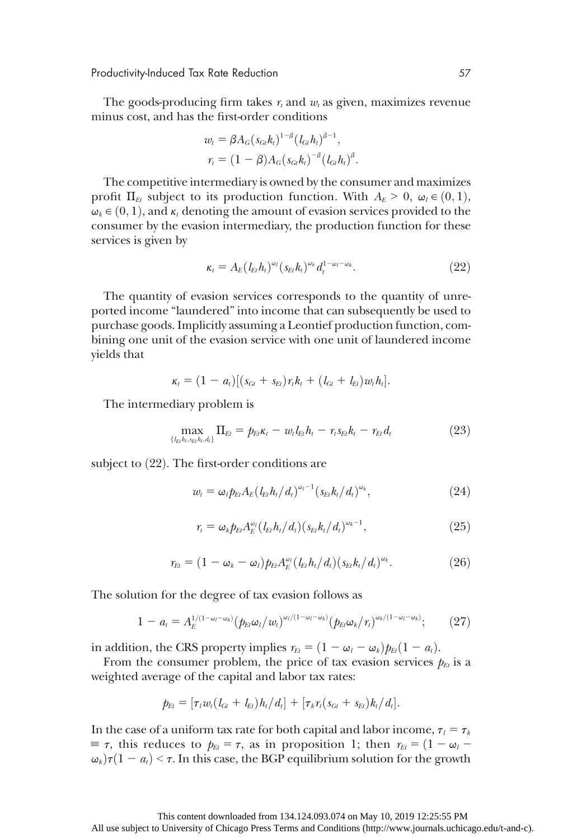Productivity-Induced Tax Rate Reduction 57

The goods-producing firm takes  $r_t$  and  $w_t$  as given, maximizes revenue minus cost, and has the first-order conditions

$$
w_{t} = \beta A_{G} (s_{Gt} h_{t})^{1-\beta} (l_{Gt} h_{t})^{\beta-1},
$$
  

$$
r_{t} = (1-\beta) A_{G} (s_{Gt} h_{t})^{-\beta} (l_{Gt} h_{t})^{\beta}.
$$

The competitive intermediary is owned by the consumer and maximizes profit  $\Pi_{Et}$  subject to its production function. With  $A_E \geq 0$ ,  $\omega_l \in (0,1)$ ,  $\omega_k \in (0, 1)$ , and  $\kappa_t$  denoting the amount of evasion services provided to the consumer by the evasion intermediary, the production function for these services is given by

$$
\kappa_t = A_E (l_{Et} h_t)^{\omega_l} (s_{Et} h_t)^{\omega_k} d_t^{1-\omega_l-\omega_k}.
$$
 (22)

The quantity of evasion services corresponds to the quantity of unreported income "laundered" into income that can subsequently be used to purchase goods. Implicitly assuming a Leontief production function, combining one unit of the evasion service with one unit of laundered income yields that

$$
\kappa_t = (1 - a_t)[(s_{Gt} + s_{Et})r_t k_t + (l_{Gt} + l_{Et})w_t h_t].
$$

The intermediary problem is

$$
\max_{\{l_{El}h_l,s_{El}h_l,d_l\}} \Pi_{El} = p_{El} \kappa_l - w_l l_{El} h_l - r_l s_{El} k_l - r_{El} d_l \tag{23}
$$

subject to  $(22)$ . The first-order conditions are

$$
w_t = \omega_t p_{Et} A_E (l_{Et} h_t / d_t)^{\omega_t - 1} (s_{Et} k_t / d_t)^{\omega_k}, \qquad (24)
$$

$$
r_{t} = \omega_{k} p_{Et} A_{E}^{\omega_{l}} (l_{Et} h_{l} / d_{l}) (s_{Et} k_{l} / d_{l})^{\omega_{k} - 1}, \qquad (25)
$$

$$
r_{Et} = (1 - \omega_k - \omega_l) p_{Et} A_E^{\omega_l} (l_{Et} h_l / d_l) (s_{Et} k_l / d_l)^{\omega_k}.
$$
 (26)

The solution for the degree of tax evasion follows as

$$
1 - a_t = A_E^{1/(1-\omega_t-\omega_k)}(p_{Et}\omega_t/w_t)^{\omega_t/(1-\omega_t-\omega_k)}(p_{Et}\omega_k/r_t)^{\omega_k/(1-\omega_t-\omega_k)};\qquad(27)
$$

in addition, the CRS property implies  $r_{Et} = (1 - \omega_l - \omega_k) p_{Et} (1 - a_t)$ .

From the consumer problem, the price of tax evasion services  $p_{Et}$  is a weighted average of the capital and labor tax rates:

$$
p_{E_l} = [\tau_l w_l (l_{G_l} + l_{E_l}) h_l / d_l] + [\tau_k r_l (s_{G_l} + s_{E_l}) k_l / d_l].
$$

In the case of a uniform tax rate for both capital and labor income,  $\tau_l = \tau_k$  $\equiv \tau$ , this reduces to  $p_{Et} = \tau$ , as in proposition 1; then  $r_{Et} = (1 - \omega_l - \tau)$  $\omega_k$ ) $\tau(1 - a_t) \leq \tau$ . In this case, the BGP equilibrium solution for the growth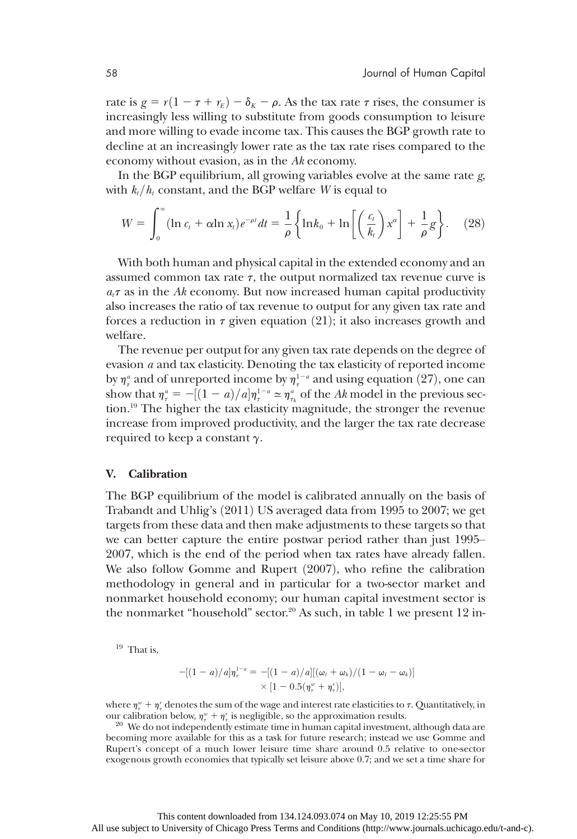rate is  $g = r(1 - \tau + r_E) - \delta_K - \rho$ . As the tax rate  $\tau$  rises, the consumer is increasingly less willing to substitute from goods consumption to leisure and more willing to evade income tax. This causes the BGP growth rate to decline at an increasingly lower rate as the tax rate rises compared to the economy without evasion, as in the Ak economy.

In the BGP equilibrium, all growing variables evolve at the same rate  $g$ , with  $k_t/h_t$  constant, and the BGP welfare W is equal to

$$
W = \int_0^\infty (\ln c_t + \alpha \ln x_t) e^{-\rho t} dt = \frac{1}{\rho} \left\{ \ln k_0 + \ln \left[ \left( \frac{c_t}{k_t} \right) x^\alpha \right] + \frac{1}{\rho} g \right\}.
$$
 (28)

With both human and physical capital in the extended economy and an assumed common tax rate  $\tau$ , the output normalized tax revenue curve is  $a_t\tau$  as in the Ak economy. But now increased human capital productivity also increases the ratio of tax revenue to output for any given tax rate and forces a reduction in  $\tau$  given equation (21); it also increases growth and welfare.

The revenue per output for any given tax rate depends on the degree of evasion a and tax elasticity. Denoting the tax elasticity of reported income by  $\eta_{\tau}^a$  and of unreported income by  $\eta_{\tau}^{1-a}$  and using equation (27), one can<br>show that  $r^a = -[(1-a)/a]n^{1-a} \approx n^a$  of the Ak model in the previous secshow that  $\eta_i^a = -[(1-a)/a]\eta_i^{1-a} \approx \eta_i^a$  of the Ak model in the previous sec-<br>tion <sup>19</sup> The bigher the tax elasticity magnitude, the stronger the revenue tion.19 The higher the tax elasticity magnitude, the stronger the revenue increase from improved productivity, and the larger the tax rate decrease required to keep a constant  $\gamma$ .

#### V. Calibration

The BGP equilibrium of the model is calibrated annually on the basis of Trabandt and Uhlig's  $(2011)$  US averaged data from 1995 to 2007; we get targets from these data and then make adjustments to these targets so that we can better capture the entire postwar period rather than just 1995– 2007, which is the end of the period when tax rates have already fallen. We also follow Gomme and Rupert  $(2007)$ , who refine the calibration methodology in general and in particular for a two-sector market and nonmarket household economy; our human capital investment sector is the nonmarket "household" sector.<sup>20</sup> As such, in table 1 we present 12 in-

 $19$  That is.

$$
-[(1-a)/a]\eta_{\tau}^{1-a} = -[(1-a)/a][(\omega_{i} + \omega_{k})/(1 - \omega_{i} - \omega_{k})]
$$
  
× [1 - 0.5( $\eta_{\tau}^{w} + \eta_{\tau}'$ )],

where  $\eta_{\tau}^{w} + \eta_{\tau}^{r}$  denotes the sum of the wage and interest rate elasticities to  $\tau$ . Quantitatively, in our calibration below,  $\eta_{\tau}^{w} + \eta_{\tau}^{w}$ 

<sup>20</sup> We do not independently estimate time in human capital investment, although data are becoming more available for this as a task for future research; instead we use Gomme and Rupert's concept of a much lower leisure time share around 0.5 relative to one-sector exogenous growth economies that typically set leisure above 0.7; and we set a time share for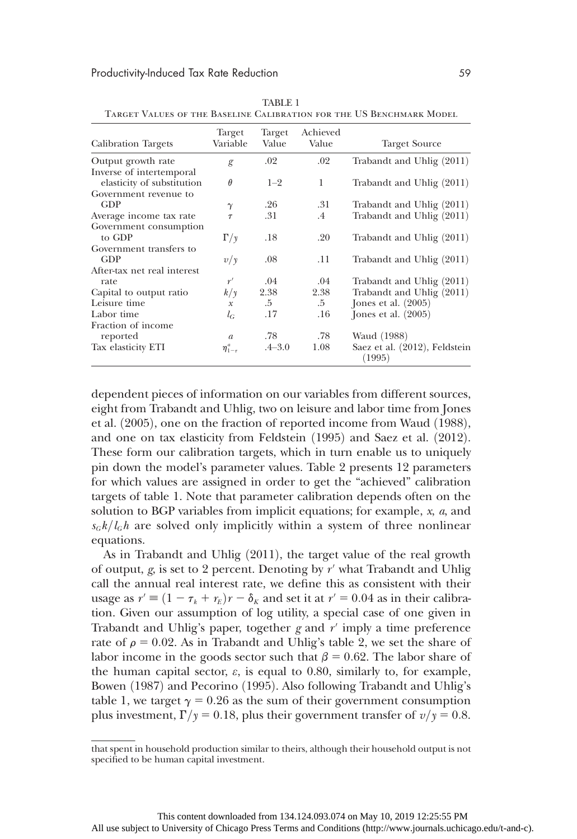#### Productivity-Induced Tax Rate Reduction 59

| <b>Calibration Targets</b>                     | Target<br>Variable | Target<br>Value | Achieved<br>Value | <b>Target Source</b>                    |
|------------------------------------------------|--------------------|-----------------|-------------------|-----------------------------------------|
| Output growth rate<br>Inverse of intertemporal | g                  | $.02\,$         | .02               | Trabandt and Uhlig (2011)               |
| elasticity of substitution                     | $\theta$           | $1 - 2$         | 1                 | Trabandt and Uhlig (2011)               |
| Government revenue to                          |                    |                 |                   |                                         |
| <b>GDP</b>                                     | $\gamma$           | .26             | .31               | Trabandt and Uhlig (2011)               |
| Average income tax rate                        | $\tau$             | .31             | $.4\,$            | Trabandt and Uhlig (2011)               |
| Government consumption                         |                    |                 |                   |                                         |
| to GDP                                         | $\Gamma/\nu$       | .18             | .20               | Trabandt and Uhlig (2011)               |
| Government transfers to                        |                    |                 |                   |                                         |
| <b>GDP</b>                                     | v/y                | .08             | .11               | Trabandt and Uhlig (2011)               |
| After-tax net real interest                    |                    |                 |                   |                                         |
| rate                                           | r'                 | .04             | .04               | Trabandt and Uhlig (2011)               |
| Capital to output ratio                        | $k/\gamma$         | 2.38            | 2.38              | Trabandt and Uhlig (2011)               |
| Leisure time                                   | $\mathcal X$       | $.5\,$          | $.5\,$            | Jones et al. $(2005)$                   |
| Labor time                                     | $l_G$              | .17             | .16               | Jones et al. $(2005)$                   |
| Fraction of income                             |                    |                 |                   |                                         |
| reported                                       | $\mathfrak{a}$     | .78             | .78               | Waud (1988)                             |
| Tax elasticity ETI                             | $\eta_{1-\tau}^a$  | $.4 - 3.0$      | 1.08              | Saez et al. (2012), Feldstein<br>(1995) |

TABLE 1 Target Values of the Baseline Calibration for the US Benchmark Model

dependent pieces of information on our variables from different sources, eight from Trabandt and Uhlig, two on leisure and labor time from Jones et al.  $(2005)$ , one on the fraction of reported income from Waud  $(1988)$ , and one on tax elasticity from Feldstein (1995) and Saez et al. (2012). These form our calibration targets, which in turn enable us to uniquely pin down the model's parameter values. Table 2 presents 12 parameters for which values are assigned in order to get the "achieved" calibration targets of table 1. Note that parameter calibration depends often on the solution to BGP variables from implicit equations; for example,  $x$ ,  $a$ , and  $s_G k/l_G h$  are solved only implicitly within a system of three nonlinear equations.

As in Trabandt and Uhlig  $(2011)$ , the target value of the real growth of output, g, is set to 2 percent. Denoting by  $r'$  what Trabandt and Uhlig call the annual real interest rate, we define this as consistent with their usage as  $r' \equiv (1 - \tau_k + r_E)r - \delta_k$  and set it at  $r' = 0.04$  as in their calibration. Given our assumption of log utility, a special case of one given in Trabandt and Uhlig's paper, together g and  $r'$  imply a time preference rate of  $\rho = 0.02$ . As in Trabandt and Uhlig's table 2, we set the share of labor income in the goods sector such that  $\beta = 0.62$ . The labor share of the human capital sector,  $\varepsilon$ , is equal to 0.80, similarly to, for example, Bowen (1987) and Pecorino (1995). Also following Trabandt and Uhlig's table 1, we target  $\gamma = 0.26$  as the sum of their government consumption plus investment,  $\Gamma/\gamma = 0.18$ , plus their government transfer of  $v/\gamma = 0.8$ .

that spent in household production similar to theirs, although their household output is not specified to be human capital investment.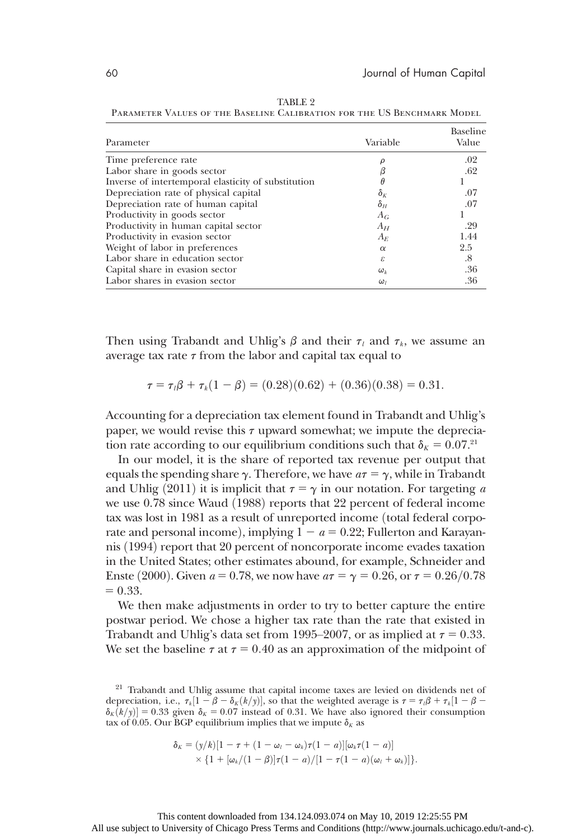| Parameter                                           | Variable     | Baseline<br>Value |
|-----------------------------------------------------|--------------|-------------------|
| Time preference rate                                |              | .02               |
| Labor share in goods sector                         |              | .62               |
| Inverse of intertemporal elasticity of substitution |              |                   |
| Depreciation rate of physical capital               | $\delta_{K}$ | .07               |
| Depreciation rate of human capital                  | $\delta_H$   | .07               |
| Productivity in goods sector                        | $A_G$        |                   |
| Productivity in human capital sector                | $A_H$        | .29               |
| Productivity in evasion sector                      | $A_F$        | 1.44              |
| Weight of labor in preferences                      | $\alpha$     | 2.5               |
| Labor share in education sector                     | ε            | .8                |
| Capital share in evasion sector                     | $\omega_k$   | .36               |
| Labor shares in evasion sector                      | $\omega_{l}$ | .36               |

TABLE 2 PARAMETER VALUES OF THE BASELINE CALIBRATION FOR THE US BENCHMARK MODEL

Then using Trabandt and Uhlig's  $\beta$  and their  $\tau_l$  and  $\tau_k$ , we assume an average tax rate  $\tau$  from the labor and capital tax equal to

$$
\tau = \tau_i \beta + \tau_k (1 - \beta) = (0.28)(0.62) + (0.36)(0.38) = 0.31.
$$

Accounting for a depreciation tax element found in Trabandt and Uhlig's paper, we would revise this  $\tau$  upward somewhat; we impute the depreciation rate according to our equilibrium conditions such that  $\delta_K = 0.07$ .<sup>21</sup>

In our model, it is the share of reported tax revenue per output that equals the spending share  $\gamma$ . Therefore, we have  $a\tau = \gamma$ , while in Trabandt and Uhlig (2011) it is implicit that  $\tau = \gamma$  in our notation. For targeting a we use 0.78 since Waud (1988) reports that 22 percent of federal income tax was lost in 1981 as a result of unreported income (total federal corporate and personal income), implying  $1 - a = 0.22$ ; Fullerton and Karayannis (1994) report that 20 percent of noncorporate income evades taxation in the United States; other estimates abound, for example, Schneider and Enste (2000). Given  $a = 0.78$ , we now have  $a\tau = \gamma = 0.26$ , or  $\tau = 0.26/0.78$  $= 0.33.$ 

We then make adjustments in order to try to better capture the entire postwar period. We chose a higher tax rate than the rate that existed in Trabandt and Uhlig's data set from 1995–2007, or as implied at  $\tau = 0.33$ . We set the baseline  $\tau$  at  $\tau$  = 0.40 as an approximation of the midpoint of

$$
\delta_K = (y/k)[1 - \tau + (1 - \omega_t - \omega_k)\tau(1 - a)][\omega_k\tau(1 - a)]
$$
  
 
$$
\times \{1 + [\omega_k/(1 - \beta)]\tau(1 - a)/[1 - \tau(1 - a)(\omega_t + \omega_k)]\}.
$$

<sup>&</sup>lt;sup>21</sup> Trabandt and Uhlig assume that capital income taxes are levied on dividends net of depreciation, i.e.,  $\tau_k[1 - \beta - \delta_K(k/y)]$ , so that the weighted average is  $\tau = \tau_i\beta + \tau_k[1 - \beta - \delta_{\tau}(k/y)] = 0.33$  given  $\delta_{\tau} = 0.07$  instead of 0.31. We have also ignored their consumption  $\delta_K(k/y)$  = 0.33 given  $\delta_K$  = 0.07 instead of 0.31. We have also ignored their consumption tax of 0.05. Our BGP equilibrium implies that we impute  $\delta_{\rm z}$  as tax of 0.05. Our BGP equilibrium implies that we impute  $\delta_K$  as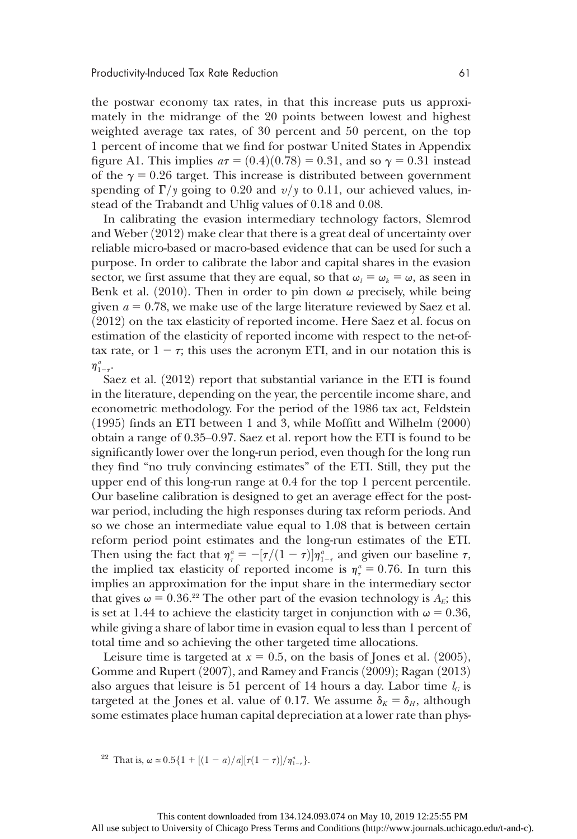the postwar economy tax rates, in that this increase puts us approximately in the midrange of the 20 points between lowest and highest weighted average tax rates, of 30 percent and 50 percent, on the top 1 percent of income that we find for postwar United States in Appendix figure A1. This implies  $a\tau = (0.4)(0.78) = 0.31$ , and so  $\gamma = 0.31$  instead of the  $\gamma = 0.26$  target. This increase is distributed between government spending of  $\Gamma/\gamma$  going to 0.20 and  $v/\gamma$  to 0.11, our achieved values, instead of the Trabandt and Uhlig values of 0.18 and 0.08.

In calibrating the evasion intermediary technology factors, Slemrod and Weber  $(2012)$  make clear that there is a great deal of uncertainty over reliable micro-based or macro-based evidence that can be used for such a purpose. In order to calibrate the labor and capital shares in the evasion sector, we first assume that they are equal, so that  $\omega_l = \omega_k = \omega$ , as seen in Benk et al.  $(2010)$ . Then in order to pin down  $\omega$  precisely, while being given  $a = 0.78$ , we make use of the large literature reviewed by Saez et al.  $(2012)$  on the tax elasticity of reported income. Here Saez et al. focus on estimation of the elasticity of reported income with respect to the net-oftax rate, or  $1 - \tau$ ; this uses the acronym ETI, and in our notation this is  $\eta_{1-\tau}^a$ .

Saez et al.  $(2012)$  report that substantial variance in the ETI is found in the literature, depending on the year, the percentile income share, and econometric methodology. For the period of the 1986 tax act, Feldstein  $(1995)$  finds an ETI between 1 and 3, while Moffitt and Wilhelm  $(2000)$ obtain a range of 0.35–0.97. Saez et al. report how the ETI is found to be significantly lower over the long-run period, even though for the long run they find "no truly convincing estimates" of the ETI. Still, they put the upper end of this long-run range at 0.4 for the top 1 percent percentile. Our baseline calibration is designed to get an average effect for the postwar period, including the high responses during tax reform periods. And so we chose an intermediate value equal to 1.08 that is between certain reform period point estimates and the long-run estimates of the ETI. Then using the fact that  $\eta_{\tau}^a = -[\tau/(1-\tau)]\eta_{1-\tau}^a$  and given our baseline  $\tau$ ,<br>the implied tax elasticity of reported income is  $\pi^a = 0.76$ . In turn this the implied tax elasticity of reported income is  $\eta_{\tau}^a = 0.76$ . In turn this implies an approximation for the input share in the intermediary sector that gives  $\omega = 0.36$ .<sup>22</sup> The other part of the evasion technology is  $A_E$ ; this is set at 1.44 to achieve the elasticity target in conjunction with  $\omega = 0.36$ , while giving a share of labor time in evasion equal to less than 1 percent of total time and so achieving the other targeted time allocations.

Leisure time is targeted at  $x = 0.5$ , on the basis of Jones et al.  $(2005)$ , Gomme and Rupert (2007), and Ramey and Francis (2009); Ragan (2013) also argues that leisure is 51 percent of 14 hours a day. Labor time  $l_G$  is targeted at the Jones et al. value of 0.17. We assume  $\delta_K = \delta_H$ , although some estimates place human capital depreciation at a lower rate than phys-

<sup>22</sup> That is,  $\omega \approx 0.5\{1 + [(1 - a)/a][\tau(1 - \tau)]/\eta_{1-\tau}^a\}.$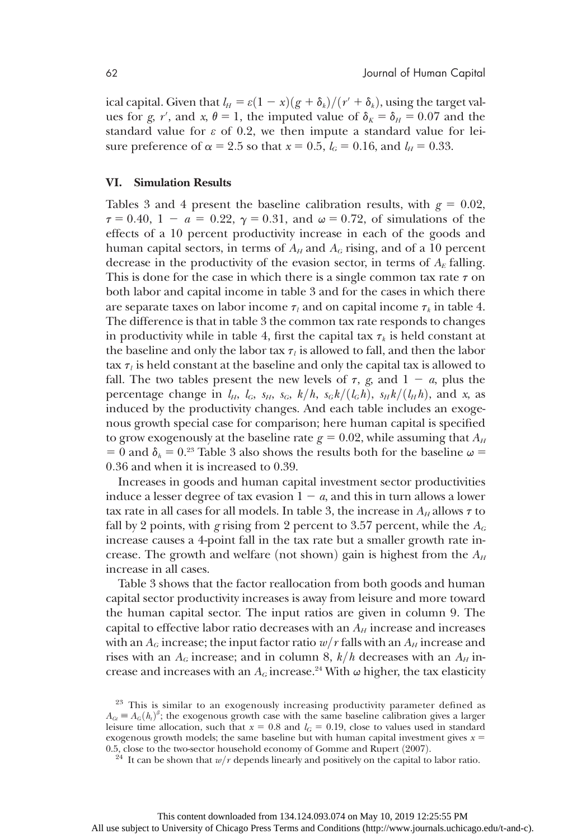ical capital. Given that  $l_H = \varepsilon(1 - x)(g + \delta_k)/(r' + \delta_k)$ , using the target values for *g*, *r'*, and *x*,  $\theta = 1$ , the imputed value of  $\delta_K = \delta_H = 0.07$  and the standard value for  $\varepsilon$  of 0.2, we then impute a standard value for leisure preference of  $\alpha = 2.5$  so that  $x = 0.5$ ,  $l_G = 0.16$ , and  $l_H = 0.33$ .

#### VI. Simulation Results

Tables 3 and 4 present the baseline calibration results, with  $g = 0.02$ ,  $\tau = 0.40, 1 - a = 0.22, \gamma = 0.31,$  and  $\omega = 0.72$ , of simulations of the effects of a 10 percent productivity increase in each of the goods and human capital sectors, in terms of  $A_H$  and  $A_G$  rising, and of a 10 percent decrease in the productivity of the evasion sector, in terms of  $A<sub>E</sub>$  falling. This is done for the case in which there is a single common tax rate  $\tau$  on both labor and capital income in table 3 and for the cases in which there are separate taxes on labor income  $\tau_l$  and on capital income  $\tau_k$  in table 4. The difference is that in table 3 the common tax rate responds to changes in productivity while in table 4, first the capital tax  $\tau_k$  is held constant at the baseline and only the labor tax  $\tau_l$  is allowed to fall, and then the labor tax  $\tau_l$  is held constant at the baseline and only the capital tax is allowed to fall. The two tables present the new levels of  $\tau$ , g, and  $1 - a$ , plus the percentage change in  $l_H$ ,  $l_G$ ,  $s_H$ ,  $s_G$ ,  $k/h$ ,  $s_G k/(l_G h)$ ,  $s_H k/(l_H h)$ , and x, as induced by the productivity changes. And each table includes an exogenous growth special case for comparison; here human capital is specified to grow exogenously at the baseline rate  $g = 0.02$ , while assuming that  $A_H$ = 0 and  $\delta_h$  = 0.<sup>23</sup> Table 3 also shows the results both for the baseline  $\omega$  = 0:36 and when it is increased to 0.39.

Increases in goods and human capital investment sector productivities induce a lesser degree of tax evasion  $1 - a$ , and this in turn allows a lower tax rate in all cases for all models. In table 3, the increase in  $A_H$  allows  $\tau$  to fall by 2 points, with g rising from 2 percent to 3.57 percent, while the  $A_G$ increase causes a 4-point fall in the tax rate but a smaller growth rate increase. The growth and welfare (not shown) gain is highest from the  $A_H$ increase in all cases.

Table 3 shows that the factor reallocation from both goods and human capital sector productivity increases is away from leisure and more toward the human capital sector. The input ratios are given in column 9. The capital to effective labor ratio decreases with an  $A_H$  increase and increases with an  $A_G$  increase; the input factor ratio  $w/r$  falls with an  $A_H$  increase and rises with an  $A_G$  increase; and in column 8,  $k/h$  decreases with an  $A_H$  increase and increases with an  $A_G$  increase.<sup>24</sup> With  $\omega$  higher, the tax elasticity

<sup>&</sup>lt;sup>23</sup> This is similar to an exogenously increasing productivity parameter defined as  $A_{\text{G}t} \equiv A_G(h_t)^\beta$ ; the exogenous growth case with the same baseline calibration gives a larger<br>leisure time allocation, such that  $x = 0.8$  and  $L_0 = 0.19$ , close to values used in standard leisure time allocation, such that  $x = 0.8$  and  $l_G = 0.19$ , close to values used in standard exogenous growth models; the same baseline but with human capital investment gives  $x =$ 0.5, close to the two-sector household economy of Gomme and Rupert (2007).<br><sup>24</sup> It can be shown that  $w/r$  depends linearly and positively on the capital to labor ratio.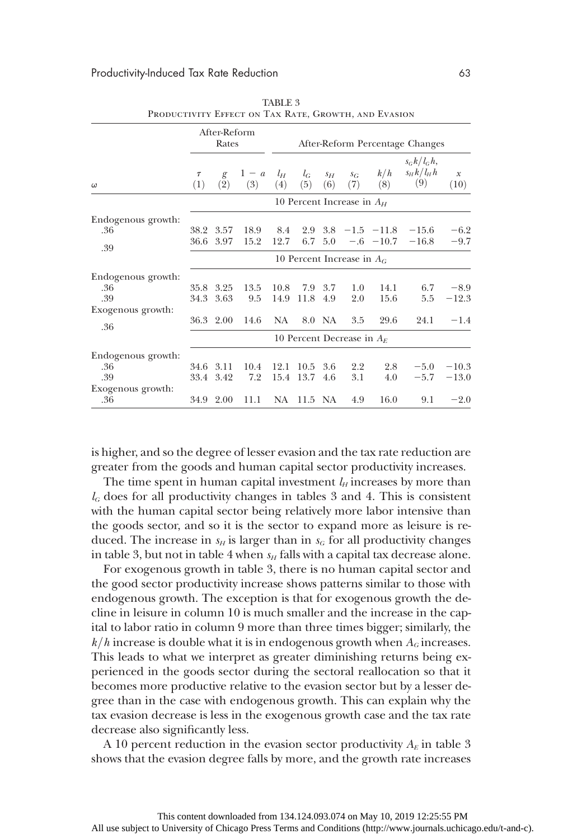|                                                       |               | After-Reform<br>Rates  |              |                              |                        |              |                              |                                   | After-Reform Percentage Changes             |                      |
|-------------------------------------------------------|---------------|------------------------|--------------|------------------------------|------------------------|--------------|------------------------------|-----------------------------------|---------------------------------------------|----------------------|
| $\omega$                                              | $\tau$<br>(1) | g<br>(2)               | $1-a$<br>(3) | $l_H$<br>(4)                 | $l_G$<br>(5)           | $S_H$<br>(6) | $S_G$<br>(7)                 | k/h<br>(8)                        | $s_G k / l_G h$ ,<br>$s_H k / l_H h$<br>(9) | $\mathcal X$<br>(10) |
|                                                       |               |                        |              |                              |                        |              | 10 Percent Increase in $A_H$ |                                   |                                             |                      |
| Endogenous growth:<br>.36<br>.39                      |               | 38.2 3.57<br>36.6 3.97 | 18.9<br>15.2 | 8.4<br>12.7                  | 2.9<br>6.7             | 5.0          |                              | $3.8 -1.5 -11.8$<br>$-.6$ $-10.7$ | $-15.6$<br>$-16.8$                          | $-6.2$<br>$-9.7$     |
|                                                       |               |                        |              |                              |                        |              | 10 Percent Increase in $A_G$ |                                   |                                             |                      |
| Endogenous growth:<br>.36<br>.39<br>Exogenous growth: | 34.3          | 35.8 3.25<br>3.63      | 13.5<br>9.5  | 10.8<br>14.9                 | 7.9<br>11.8            | 3.7<br>4.9   | 1.0<br>2.0                   | 14.1<br>15.6                      | 6.7<br>5.5                                  | $-8.9$<br>$-12.3$    |
| .36                                                   |               | 36.3 2.00              | 14.6         | NA                           |                        | 8.0 NA       | 3.5                          | 29.6                              | 24.1                                        | $-1.4$               |
|                                                       |               |                        |              | 10 Percent Decrease in $A_E$ |                        |              |                              |                                   |                                             |                      |
| Endogenous growth:<br>.36<br>.39<br>Exogenous growth: |               | 34.6 3.11<br>33.4 3.42 | 10.4<br>7.2  |                              | 12.1 10.5<br>15.4 13.7 | 3.6<br>4.6   | 2.2<br>3.1                   | 2.8<br>4.0                        | $-5.0$<br>$-5.7$                            | $-10.3$<br>$-13.0$   |
| .36                                                   |               | 34.9 2.00              | 11.1         |                              | NA 11.5 NA             |              | 4.9                          | 16.0                              | 9.1                                         | $-2.0$               |

TABLE 3 PRODUCTIVITY EFFECT ON TAX RATE, GROWTH, AND EVASION

is higher, and so the degree of lesser evasion and the tax rate reduction are greater from the goods and human capital sector productivity increases.

The time spent in human capital investment  $l_H$  increases by more than  $l_G$  does for all productivity changes in tables 3 and 4. This is consistent with the human capital sector being relatively more labor intensive than the goods sector, and so it is the sector to expand more as leisure is reduced. The increase in  $s_H$  is larger than in  $s_G$  for all productivity changes in table 3, but not in table 4 when  $s_H$  falls with a capital tax decrease alone.

For exogenous growth in table 3, there is no human capital sector and the good sector productivity increase shows patterns similar to those with endogenous growth. The exception is that for exogenous growth the decline in leisure in column 10 is much smaller and the increase in the capital to labor ratio in column 9 more than three times bigger; similarly, the  $k/h$  increase is double what it is in endogenous growth when  $A_G$  increases. This leads to what we interpret as greater diminishing returns being experienced in the goods sector during the sectoral reallocation so that it becomes more productive relative to the evasion sector but by a lesser degree than in the case with endogenous growth. This can explain why the tax evasion decrease is less in the exogenous growth case and the tax rate decrease also significantly less.

A 10 percent reduction in the evasion sector productivity  $A<sub>E</sub>$  in table 3 shows that the evasion degree falls by more, and the growth rate increases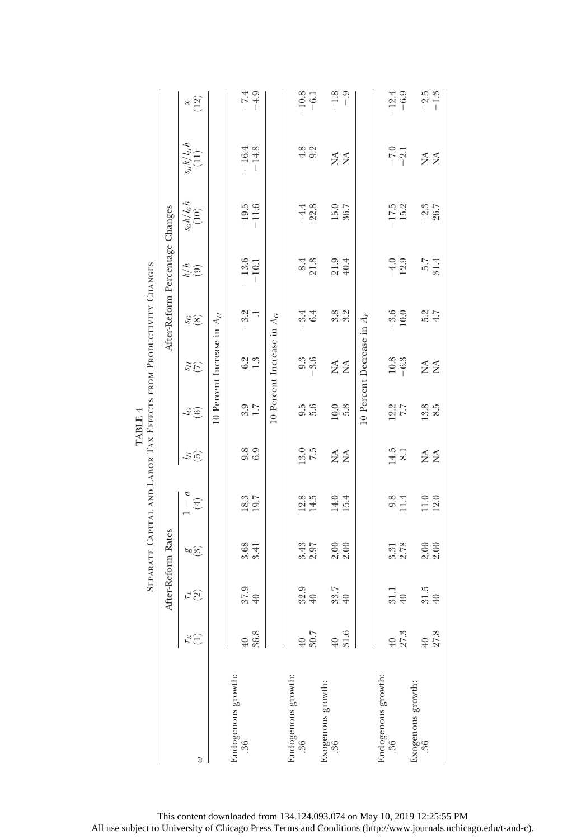|                                       |                                   |                                |                             | SEPARATE CAPITAL AND LABOR TAX EFFECTS FROM PRODUCTIVITY CHANGES |                    | TABLE 4                     |                                |                      |                                 |                              |                              |                                         |
|---------------------------------------|-----------------------------------|--------------------------------|-----------------------------|------------------------------------------------------------------|--------------------|-----------------------------|--------------------------------|----------------------|---------------------------------|------------------------------|------------------------------|-----------------------------------------|
|                                       |                                   |                                | After-Reform Rates          |                                                                  |                    |                             |                                |                      | After-Reform Percentage Changes |                              |                              |                                         |
| 3                                     | $\tilde{\mathbf{r}}^{\mathbf{K}}$ | $\vec{r} \, \widehat{\otimes}$ | <u>ಉ</u> ಲ                  | $-$<br>$\tag{4}$                                                 | $\tilde{f}_H$      | $\mathcal{L}_{\mathcal{G}}$ | $\widetilde{H}$                | $\overset{\rm c}{s}$ | $\frac{k}{4}$                   | $\frac{s_c k / l_c h}{(10)}$ | $\frac{S_H k / l_H h}{(11)}$ | $\begin{pmatrix} 8 \\ 12 \end{pmatrix}$ |
|                                       |                                   |                                |                             |                                                                  |                    |                             | 10 Percent Increase in $A_H$   |                      |                                 |                              |                              |                                         |
| Endogenous growth:<br>36              | 36.8<br>40                        | 37.9<br>$40$                   | 3.68<br>3.41                | 18.3<br>19.7                                                     | 9.9<br>6.9         | $\frac{3.7}{1.7}$           | $6.\overline{3}$<br>1.3        | $-3.2$               | $-13.6$<br>$-10.1$              | $-19.5$<br>$-11.6$           | $-14.8$<br>$-16.4$           | $-7.4$<br>$-4.9$                        |
|                                       |                                   |                                |                             |                                                                  |                    |                             | $10$ Percent Increase in $A_G$ |                      |                                 |                              |                              |                                         |
| Endogenous growth:<br>$\overline{36}$ | 30.7<br>$\overline{40}$           | $\frac{32.9}{40}$              | 3.43<br>2.97                | $\frac{12.8}{14.5}$                                              | $\frac{13.5}{7.5}$ | 9.5<br>5.6                  | 9.9<br>0.9<br>1                | $-3.4$<br>6.4        | $\frac{8.4}{21.8}$              | $-4.4$<br>22.8               | $4.8$<br>9.2                 | $-10.8$<br>$-6.1$                       |
|                                       |                                   |                                |                             |                                                                  |                    |                             |                                |                      |                                 |                              |                              |                                         |
| Exogenous growth:<br>.36              | 31.6<br>$\overline{40}$           | 33.7<br>$40\,$                 | $2.00$<br>$2.00$            | $14.0$<br>$15.4$                                                 | ≨≨                 | 10.0<br>5.8                 | Ź<br>Ź                         | 8.<br>8.<br>8.       | 21.9<br>40.4                    | 15.0<br>36.7                 | ₹<br>$\tilde{z}$             | $-1.8$<br>$-9$                          |
|                                       |                                   |                                |                             |                                                                  |                    |                             | 10 Percent Decrease in $A_E$   |                      |                                 |                              |                              |                                         |
| Endogenous growth:<br>$36 \,$         | $40$                              | 31.1                           | 3.31                        | 9.8                                                              | 14.5               | 12.7<br>7.7                 | 10.8                           | $\frac{-3.6}{10.0}$  | $-4.0$                          | $-17.5$                      | $-7.0$                       | $-12.4$                                 |
|                                       | 27.3                              | $\overline{40}$                | 2.78                        | 11.4                                                             | 8.1                |                             | $-6.3$                         |                      | 12.9                            | 15.2                         | $-2.1$                       | $-6.9$                                  |
| Exogenous growth:<br>.36              | 27.8<br>$\overline{40}$           | 31.5<br>$40\,$                 | $\frac{8}{2}.\overline{0}0$ | 12.0<br>11.0                                                     | ≨≨                 | 13.8<br>8.5                 | Ź<br>$\tilde{z}$               | $4.7$<br>5.2         | 5.7<br>31.4                     | $-2.3$<br>26.7               | ₹<br>$\tilde{z}$             | $\frac{-2.5}{-1.3}$                     |
|                                       |                                   |                                |                             |                                                                  |                    |                             |                                |                      |                                 |                              |                              |                                         |

This content downloaded from 134.124.093.074 on May 10, 2019 12:25:55 PM All use subject to University of Chicago Press Terms and Conditions (http://www.journals.uchicago.edu/t-and-c).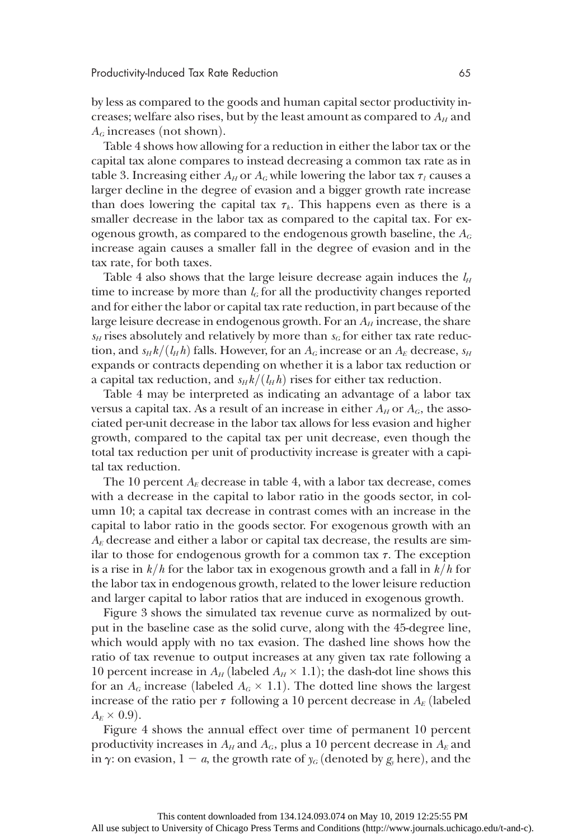by less as compared to the goods and human capital sector productivity increases; welfare also rises, but by the least amount as compared to  $A_H$  and  $A_G$  increases (not shown).

Table 4 shows how allowing for a reduction in either the labor tax or the capital tax alone compares to instead decreasing a common tax rate as in table 3. Increasing either  $A_H$  or  $A_G$  while lowering the labor tax  $\tau_l$  causes a larger decline in the degree of evasion and a bigger growth rate increase than does lowering the capital tax  $\tau_k$ . This happens even as there is a smaller decrease in the labor tax as compared to the capital tax. For exogenous growth, as compared to the endogenous growth baseline, the  $A_G$ increase again causes a smaller fall in the degree of evasion and in the tax rate, for both taxes.

Table 4 also shows that the large leisure decrease again induces the  $l_H$ time to increase by more than  $l_G$  for all the productivity changes reported and for either the labor or capital tax rate reduction, in part because of the large leisure decrease in endogenous growth. For an  $A_H$  increase, the share  $s_H$  rises absolutely and relatively by more than  $s_G$  for either tax rate reduction, and  $s_H k/(l_H h)$  falls. However, for an  $A_G$  increase or an  $A_E$  decrease,  $s_H$ expands or contracts depending on whether it is a labor tax reduction or a capital tax reduction, and  $s_H k/(l_H h)$  rises for either tax reduction.

Table 4 may be interpreted as indicating an advantage of a labor tax versus a capital tax. As a result of an increase in either  $A_H$  or  $A_G$ , the associated per-unit decrease in the labor tax allows for less evasion and higher growth, compared to the capital tax per unit decrease, even though the total tax reduction per unit of productivity increase is greater with a capital tax reduction.

The 10 percent  $A_E$  decrease in table 4, with a labor tax decrease, comes with a decrease in the capital to labor ratio in the goods sector, in column 10; a capital tax decrease in contrast comes with an increase in the capital to labor ratio in the goods sector. For exogenous growth with an  $A<sub>E</sub>$  decrease and either a labor or capital tax decrease, the results are similar to those for endogenous growth for a common tax  $\tau$ . The exception is a rise in  $k/h$  for the labor tax in exogenous growth and a fall in  $k/h$  for the labor tax in endogenous growth, related to the lower leisure reduction and larger capital to labor ratios that are induced in exogenous growth.

Figure 3 shows the simulated tax revenue curve as normalized by output in the baseline case as the solid curve, along with the 45-degree line, which would apply with no tax evasion. The dashed line shows how the ratio of tax revenue to output increases at any given tax rate following a 10 percent increase in  $A_H$  (labeled  $A_H \times 1.1$ ); the dash-dot line shows this for an  $A_G$  increase (labeled  $A_G \times 1.1$ ). The dotted line shows the largest increase of the ratio per  $\tau$  following a 10 percent decrease in  $A_E$  (labeled  $A_E \times 0.9$ .

Figure 4 shows the annual effect over time of permanent 10 percent productivity increases in  $A_H$  and  $A_G$ , plus a 10 percent decrease in  $A_E$  and in  $\gamma$ : on evasion,  $1 - a$ , the growth rate of  $y_G$  (denoted by  $g_y$  here), and the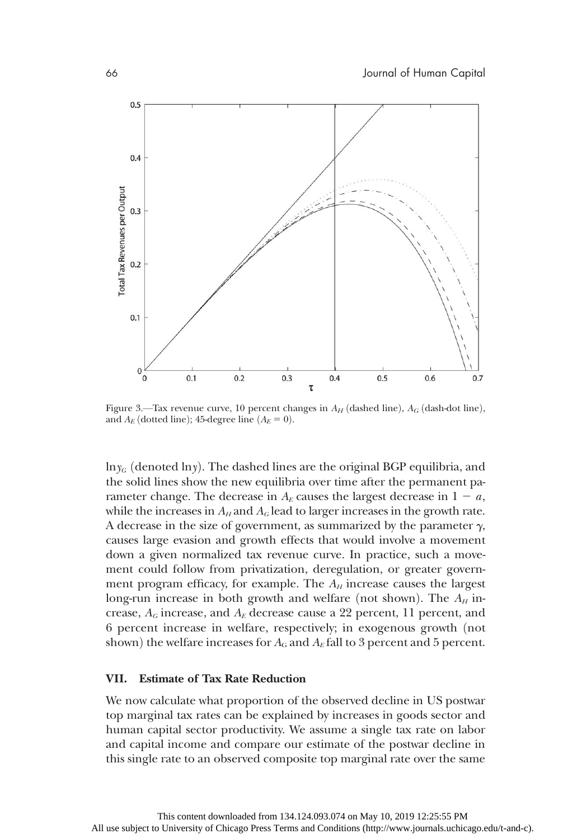

Figure 3.—Tax revenue curve, 10 percent changes in  $A_H$  (dashed line),  $A_G$  (dash-dot line), and  $A_E$  (dotted line); 45-degree line  $(A_E = 0)$ .

 $ln y_G$  (denoted lny). The dashed lines are the original BGP equilibria, and the solid lines show the new equilibria over time after the permanent parameter change. The decrease in  $A_E$  causes the largest decrease in  $1 - a$ , while the increases in  $A_H$  and  $A_G$  lead to larger increases in the growth rate. A decrease in the size of government, as summarized by the parameter  $\gamma$ , causes large evasion and growth effects that would involve a movement down a given normalized tax revenue curve. In practice, such a movement could follow from privatization, deregulation, or greater government program efficacy, for example. The  $A_H$  increase causes the largest long-run increase in both growth and welfare (not shown). The  $A_H$  increase,  $A_G$  increase, and  $A_E$  decrease cause a 22 percent, 11 percent, and 6 percent increase in welfare, respectively; in exogenous growth (not shown) the welfare increases for  $A_G$  and  $A_E$  fall to 3 percent and 5 percent.

#### VII. Estimate of Tax Rate Reduction

We now calculate what proportion of the observed decline in US postwar top marginal tax rates can be explained by increases in goods sector and human capital sector productivity. We assume a single tax rate on labor and capital income and compare our estimate of the postwar decline in this single rate to an observed composite top marginal rate over the same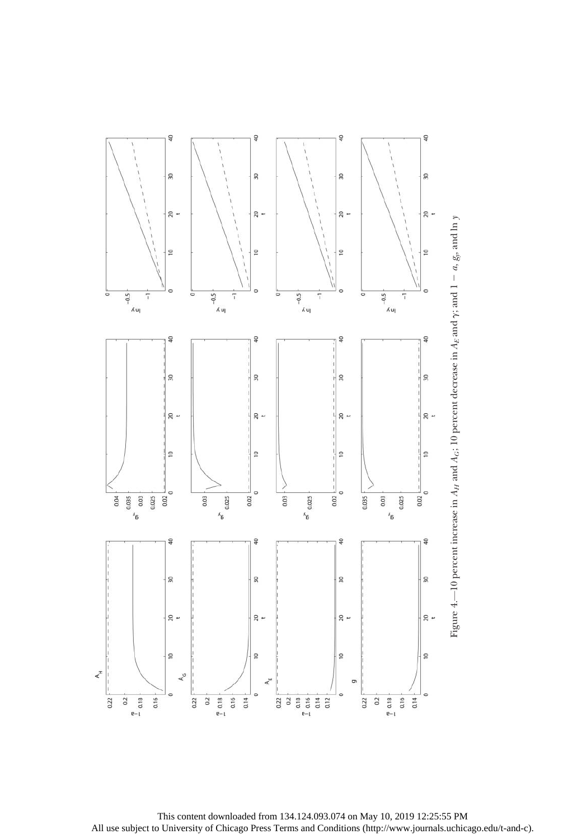



This content downloaded from 134.124.093.074 on May 10, 2019 12:25:55 PM All use subject to University of Chicago Press Terms and Conditions (http://www.journals.uchicago.edu/t-and-c).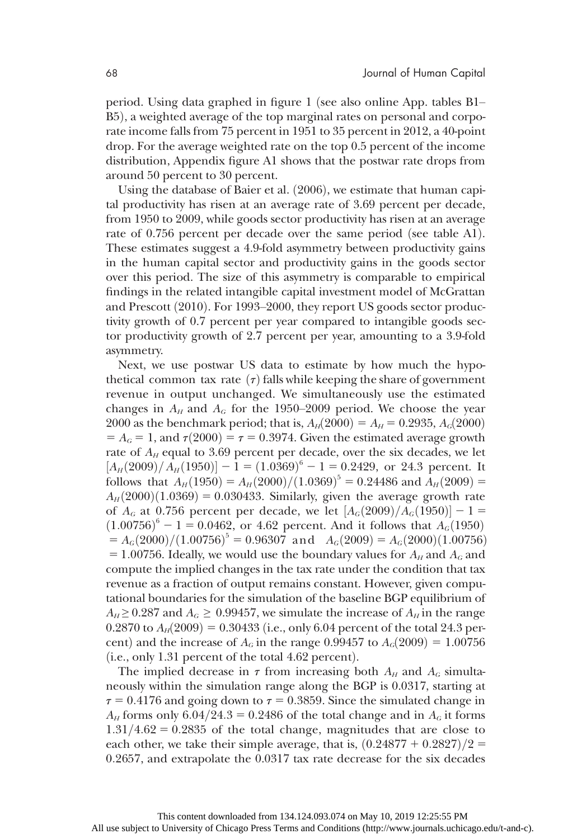period. Using data graphed in figure 1 (see also online App. tables B1– B5), a weighted average of the top marginal rates on personal and corporate income falls from 75 percent in 1951 to 35 percent in 2012, a 40-point drop. For the average weighted rate on the top 0.5 percent of the income distribution, Appendix figure A1 shows that the postwar rate drops from around 50 percent to 30 percent.

Using the database of Baier et al.  $(2006)$ , we estimate that human capital productivity has risen at an average rate of 3.69 percent per decade, from 1950 to 2009, while goods sector productivity has risen at an average rate of 0.756 percent per decade over the same period (see table A1). These estimates suggest a 4.9-fold asymmetry between productivity gains in the human capital sector and productivity gains in the goods sector over this period. The size of this asymmetry is comparable to empirical findings in the related intangible capital investment model of McGrattan and Prescott  $(2010)$ . For 1993–2000, they report US goods sector productivity growth of 0.7 percent per year compared to intangible goods sector productivity growth of 2.7 percent per year, amounting to a 3.9-fold asymmetry.

Next, we use postwar US data to estimate by how much the hypothetical common tax rate  $(\tau)$  falls while keeping the share of government revenue in output unchanged. We simultaneously use the estimated changes in  $A_H$  and  $A_G$  for the 1950–2009 period. We choose the year 2000 as the benchmark period; that is,  $A_H(2000) = A_H = 0.2935, A_G(2000)$  $= A_G = 1$ , and  $\tau(2000) = \tau = 0.3974$ . Given the estimated average growth rate of  $A_H$  equal to 3.69 percent per decade, over the six decades, we let  $[A_H(2009)/A_H(1950)] - 1 = (1.0369)^6 - 1 = 0.2429$ , or 24.3 percent. It<br>follows that  $A_{-}(1950) = A_{-}(9000)/(1.0369)^5 = 0.94486$  and  $A_{-}(9000) =$ follows that  $A_H(1950) = A_H(2000)/(1.0369)^5 = 0.24486$  and  $A_H(2009) =$ <br>4. (2000)(1.0369) = 0.030433. Similarly given the average growth rate  $A_H(2000)(1.0369) = 0.030433$ . Similarly, given the average growth rate of  $A_G$  at 0.756 percent per decade, we let  $[A_G(2009)/A_G(1950)] - 1 =$ <br>(1.00756)<sup>6</sup> - 1 = 0.0469, or 4.69 percent. And it follows that  $A_G(1950)$  $(1.00756)^6 - 1 = 0.0462$ , or 4.62 percent. And it follows that  $A_G(1950) = A_G(9000)/(1.00756)^5 = 0.96307$  and  $A_G(9000) = A_G(9000)(1.00756)^5$  $= A_G(2000)/(1.00756)^5 = 0.96307$  and  $A_G(2009) = A_G(2000)(1.00756)$ <br>= 1.00756. Ideally we would use the boundary values for  $A_G$  and  $A_G$  and = 1.00756. Ideally, we would use the boundary values for  $A_H$  and  $A_G$  and compute the implied changes in the tax rate under the condition that tax revenue as a fraction of output remains constant. However, given computational boundaries for the simulation of the baseline BGP equilibrium of  $A_H \geq 0.287$  and  $A_G \geq 0.99457$ , we simulate the increase of  $A_H$  in the range 0.2870 to  $A_H(2009) = 0.30433$  (i.e., only 6.04 percent of the total 24.3 percent) and the increase of  $A_G$  in the range 0.99457 to  $A_G(2009) = 1.00756$  $(i.e., only 1.31 percent of the total 4.62 percent).$ 

The implied decrease in  $\tau$  from increasing both  $A_H$  and  $A_G$  simultaneously within the simulation range along the BGP is 0.0317, starting at  $\tau = 0.4176$  and going down to  $\tau = 0.3859$ . Since the simulated change in  $A_H$  forms only 6.04/24.3 = 0.2486 of the total change and in  $A_G$  it forms  $1.31/4.62 = 0.2835$  of the total change, magnitudes that are close to each other, we take their simple average, that is,  $(0.24877 + 0.2827)/2 =$ 0:2657, and extrapolate the 0.0317 tax rate decrease for the six decades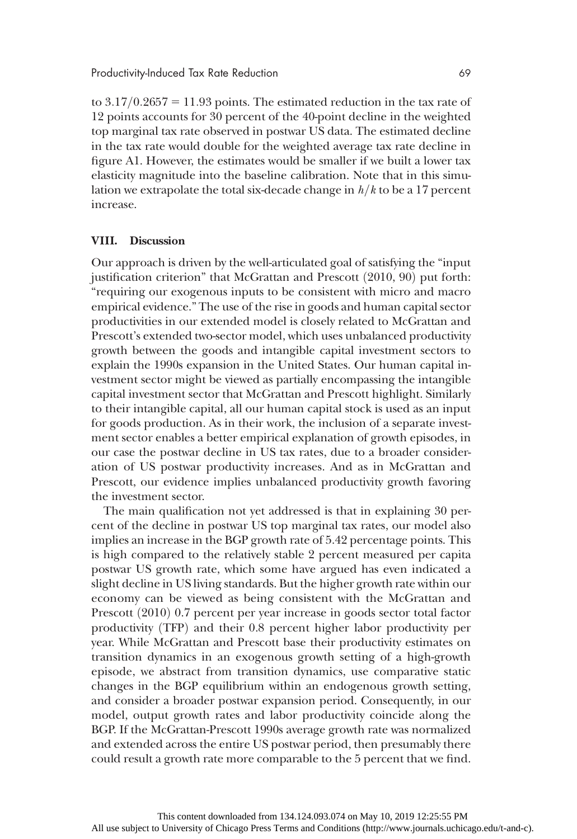to  $3.17/0.2657 = 11.93$  points. The estimated reduction in the tax rate of 12 points accounts for 30 percent of the 40-point decline in the weighted top marginal tax rate observed in postwar US data. The estimated decline in the tax rate would double for the weighted average tax rate decline in figure A1. However, the estimates would be smaller if we built a lower tax elasticity magnitude into the baseline calibration. Note that in this simulation we extrapolate the total six-decade change in  $h/k$  to be a 17 percent increase.

#### VIII. Discussion

Our approach is driven by the well-articulated goal of satisfying the "input justification criterion" that McGrattan and Prescott  $(2010, 90)$  put forth: "requiring our exogenous inputs to be consistent with micro and macro empirical evidence." The use of the rise in goods and human capital sector productivities in our extended model is closely related to McGrattan and Prescott's extended two-sector model, which uses unbalanced productivity growth between the goods and intangible capital investment sectors to explain the 1990s expansion in the United States. Our human capital investment sector might be viewed as partially encompassing the intangible capital investment sector that McGrattan and Prescott highlight. Similarly to their intangible capital, all our human capital stock is used as an input for goods production. As in their work, the inclusion of a separate investment sector enables a better empirical explanation of growth episodes, in our case the postwar decline in US tax rates, due to a broader consideration of US postwar productivity increases. And as in McGrattan and Prescott, our evidence implies unbalanced productivity growth favoring the investment sector.

The main qualification not yet addressed is that in explaining 30 percent of the decline in postwar US top marginal tax rates, our model also implies an increase in the BGP growth rate of 5.42 percentage points. This is high compared to the relatively stable 2 percent measured per capita postwar US growth rate, which some have argued has even indicated a slight decline in US living standards. But the higher growth rate within our economy can be viewed as being consistent with the McGrattan and Prescott  $(2010)$  0.7 percent per year increase in goods sector total factor productivity (TFP) and their 0.8 percent higher labor productivity per year. While McGrattan and Prescott base their productivity estimates on transition dynamics in an exogenous growth setting of a high-growth episode, we abstract from transition dynamics, use comparative static changes in the BGP equilibrium within an endogenous growth setting, and consider a broader postwar expansion period. Consequently, in our model, output growth rates and labor productivity coincide along the BGP. If the McGrattan-Prescott 1990s average growth rate was normalized and extended across the entire US postwar period, then presumably there could result a growth rate more comparable to the 5 percent that we find.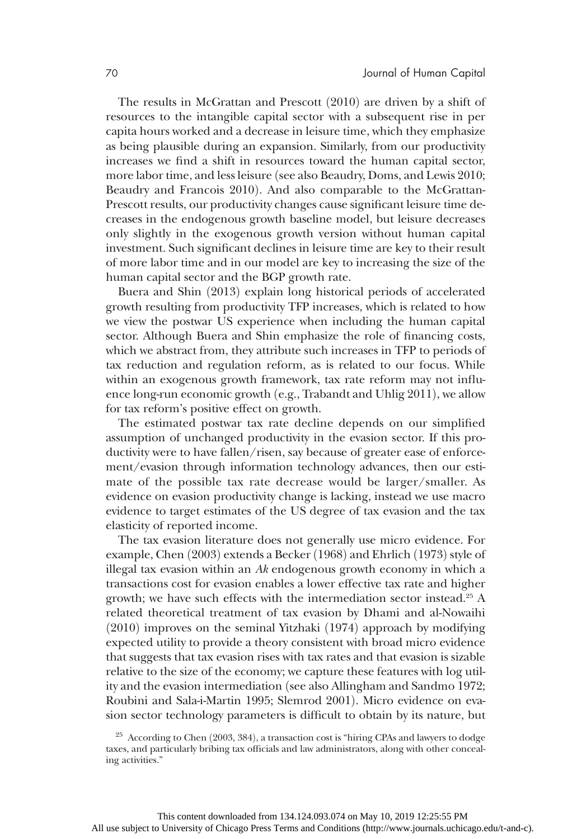The results in McGrattan and Prescott  $(2010)$  are driven by a shift of resources to the intangible capital sector with a subsequent rise in per capita hours worked and a decrease in leisure time, which they emphasize as being plausible during an expansion. Similarly, from our productivity increases we find a shift in resources toward the human capital sector, more labor time, and less leisure (see also Beaudry, Doms, and Lewis 2010; Beaudry and Francois 2010). And also comparable to the McGrattan-Prescott results, our productivity changes cause significant leisure time decreases in the endogenous growth baseline model, but leisure decreases only slightly in the exogenous growth version without human capital investment. Such significant declines in leisure time are key to their result of more labor time and in our model are key to increasing the size of the human capital sector and the BGP growth rate.

Buera and Shin (2013) explain long historical periods of accelerated growth resulting from productivity TFP increases, which is related to how we view the postwar US experience when including the human capital sector. Although Buera and Shin emphasize the role of financing costs, which we abstract from, they attribute such increases in TFP to periods of tax reduction and regulation reform, as is related to our focus. While within an exogenous growth framework, tax rate reform may not influence long-run economic growth  $(e.g., Trabandt and Uhlig 2011)$ , we allow for tax reform's positive effect on growth.

The estimated postwar tax rate decline depends on our simplified assumption of unchanged productivity in the evasion sector. If this productivity were to have fallen/risen, say because of greater ease of enforcement/evasion through information technology advances, then our estimate of the possible tax rate decrease would be larger/smaller. As evidence on evasion productivity change is lacking, instead we use macro evidence to target estimates of the US degree of tax evasion and the tax elasticity of reported income.

The tax evasion literature does not generally use micro evidence. For example, Chen (2003) extends a Becker (1968) and Ehrlich (1973) style of illegal tax evasion within an  $Ak$  endogenous growth economy in which a transactions cost for evasion enables a lower effective tax rate and higher growth; we have such effects with the intermediation sector instead.25 A related theoretical treatment of tax evasion by Dhami and al-Nowaihi  $(2010)$  improves on the seminal Yitzhaki  $(1974)$  approach by modifying expected utility to provide a theory consistent with broad micro evidence that suggests that tax evasion rises with tax rates and that evasion is sizable relative to the size of the economy; we capture these features with log utility and the evasion intermediation (see also Allingham and Sandmo 1972; Roubini and Sala-i-Martin 1995; Slemrod 2001). Micro evidence on evasion sector technology parameters is difficult to obtain by its nature, but

 $25$  According to Chen  $(2003, 384)$ , a transaction cost is "hiring CPAs and lawyers to dodge taxes, and particularly bribing tax officials and law administrators, along with other concealing activities."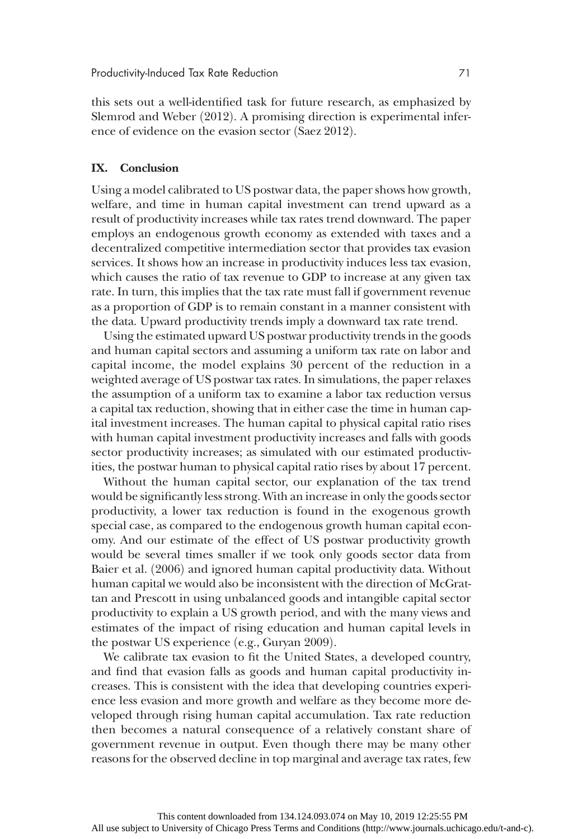this sets out a well-identified task for future research, as emphasized by Slemrod and Weber (2012). A promising direction is experimental inference of evidence on the evasion sector (Saez 2012).

#### IX. Conclusion

Using a model calibrated to US postwar data, the paper shows how growth, welfare, and time in human capital investment can trend upward as a result of productivity increases while tax rates trend downward. The paper employs an endogenous growth economy as extended with taxes and a decentralized competitive intermediation sector that provides tax evasion services. It shows how an increase in productivity induces less tax evasion, which causes the ratio of tax revenue to GDP to increase at any given tax rate. In turn, this implies that the tax rate must fall if government revenue as a proportion of GDP is to remain constant in a manner consistent with the data. Upward productivity trends imply a downward tax rate trend.

Using the estimated upward US postwar productivity trends in the goods and human capital sectors and assuming a uniform tax rate on labor and capital income, the model explains 30 percent of the reduction in a weighted average of US postwar tax rates. In simulations, the paper relaxes the assumption of a uniform tax to examine a labor tax reduction versus a capital tax reduction, showing that in either case the time in human capital investment increases. The human capital to physical capital ratio rises with human capital investment productivity increases and falls with goods sector productivity increases; as simulated with our estimated productivities, the postwar human to physical capital ratio rises by about 17 percent.

Without the human capital sector, our explanation of the tax trend would be significantly less strong. With an increase in only the goods sector productivity, a lower tax reduction is found in the exogenous growth special case, as compared to the endogenous growth human capital economy. And our estimate of the effect of US postwar productivity growth would be several times smaller if we took only goods sector data from Baier et al. (2006) and ignored human capital productivity data. Without human capital we would also be inconsistent with the direction of McGrattan and Prescott in using unbalanced goods and intangible capital sector productivity to explain a US growth period, and with the many views and estimates of the impact of rising education and human capital levels in the postwar US experience  $(e.g., Guryan 2009).$ 

We calibrate tax evasion to fit the United States, a developed country, and find that evasion falls as goods and human capital productivity increases. This is consistent with the idea that developing countries experience less evasion and more growth and welfare as they become more developed through rising human capital accumulation. Tax rate reduction then becomes a natural consequence of a relatively constant share of government revenue in output. Even though there may be many other reasons for the observed decline in top marginal and average tax rates, few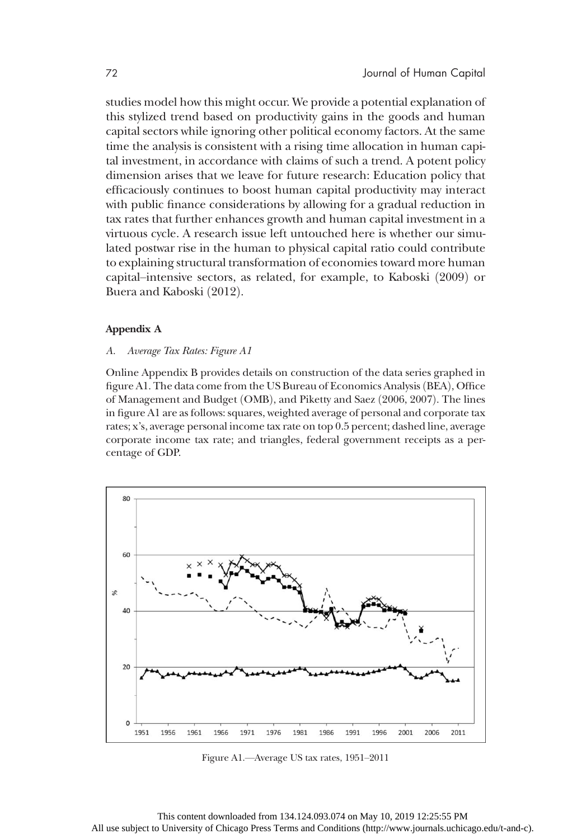studies model how this might occur. We provide a potential explanation of this stylized trend based on productivity gains in the goods and human capital sectors while ignoring other political economy factors. At the same time the analysis is consistent with a rising time allocation in human capital investment, in accordance with claims of such a trend. A potent policy dimension arises that we leave for future research: Education policy that efficaciously continues to boost human capital productivity may interact with public finance considerations by allowing for a gradual reduction in tax rates that further enhances growth and human capital investment in a virtuous cycle. A research issue left untouched here is whether our simulated postwar rise in the human to physical capital ratio could contribute to explaining structural transformation of economies toward more human capital–intensive sectors, as related, for example, to Kaboski (2009) or Buera and Kaboski (2012).

#### Appendix A

#### A. Average Tax Rates: Figure A1

Online Appendix B provides details on construction of the data series graphed in figure A1. The data come from the US Bureau of Economics Analysis (BEA), Office of Management and Budget (OMB), and Piketty and Saez (2006, 2007). The lines in figure A1 are as follows: squares, weighted average of personal and corporate tax rates; x's, average personal income tax rate on top 0.5 percent; dashed line, average corporate income tax rate; and triangles, federal government receipts as a percentage of GDP.



Figure A1.—Average US tax rates, 1951–2011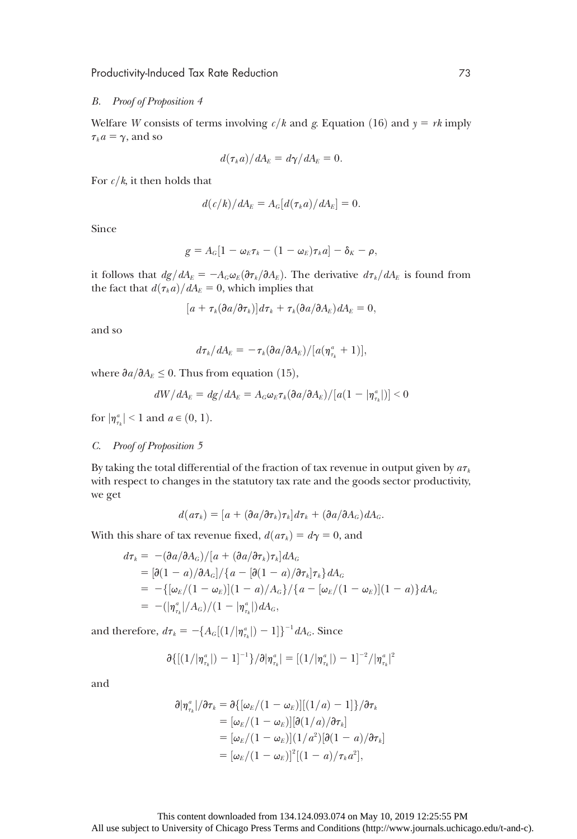#### B. Proof of Proposition 4

Welfare W consists of terms involving  $c/k$  and g. Equation (16) and  $y = rk$  imply  $\tau_k a = \gamma$ , and so

$$
d(\tau_k a)/dA_E = d\gamma/dA_E = 0.
$$

For  $c/k$ , it then holds that

$$
d(c/k)/dA_E = A_G[d(\tau_k a)/dA_E] = 0.
$$

Since

$$
g=A_G[1-\omega_E\tau_k-(1-\omega_E)\tau_ka]-\delta_K-\rho,
$$

it follows that  $dg/dA_E = -A_G \omega_E(\partial \tau_k/\partial A_E)$ . The derivative  $d\tau_k/dA_E$  is found from the fact that  $d(\tau_k a)/dA_E = 0$ , which implies that

$$
[a + \tau_k(\partial a/\partial \tau_k)]d\tau_k + \tau_k(\partial a/\partial A_E)dA_E = 0,
$$

and so

$$
d\tau_k/dA_E=-\tau_k(\partial a/\partial A_E)/[a(\eta^a_{\tau_k}+1)],
$$

where  $\partial a/\partial A_E \leq 0$ . Thus from equation (15),

$$
dW/dA_E = dg/dA_E = A_G \omega_E \tau_k (\partial a/\partial A_E) / [a(1 - |\eta^a_{\tau_k}|)] < 0
$$

for  $|\eta_{\tau_k}^a|$  < 1 and  $a \in (0, 1)$ .

#### C. Proof of Proposition 5

By taking the total differential of the fraction of tax revenue in output given by  $a\tau_k$ with respect to changes in the statutory tax rate and the goods sector productivity, we get

$$
d(a\tau_k)=[a+(\partial a/\partial \tau_k)\tau_k]d\tau_k+(\partial a/\partial A_G)dA_G.
$$

With this share of tax revenue fixed,  $d(a\tau_k) = d\gamma = 0$ , and

$$
d\tau_k = -(\partial a/\partial A_G)/[a + (\partial a/\partial \tau_k)\tau_k]dA_G
$$
  
=  $[\partial (1 - a)/\partial A_G]/\{a - [\partial (1 - a)/\partial \tau_k]\tau_k\}dA_G$   
=  $-\{[\omega_E/(1 - \omega_E)](1 - a)/A_G\}/\{a - [\omega_E/(1 - \omega_E)](1 - a)\}dA_G$   
=  $-(|\eta_{\tau_k}^a|/A_G)/(1 - |\eta_{\tau_k}^a|)dA_G$ ,

and therefore,  $d\tau_k = -\{A_G[(1/|\eta_{\tau_k}^a|)-1]\}^{-1}dA_G$ . Since

$$
\partial \{[(1/|\eta_{\tau_k}^a|)-1]^{-1}\}/\partial |\eta_{\tau_k}^a| = [(1/|\eta_{\tau_k}^a|)-1]^{-2}/|\eta_{\tau_k}^a|^2
$$

and

$$
\partial |\eta_{\tau_k}^a| / \partial \tau_k = \partial \{ [\omega_E/(1-\omega_E)][(1/a) - 1] \} / \partial \tau_k
$$
  
=  $[\omega_E/(1-\omega_E)][\partial (1/a)/\partial \tau_k]$   
=  $[\omega_E/(1-\omega_E)](1/a^2)[\partial (1-a)/\partial \tau_k]$   
=  $[\omega_E/(1-\omega_E)]^2[(1-a)/\tau_k a^2],$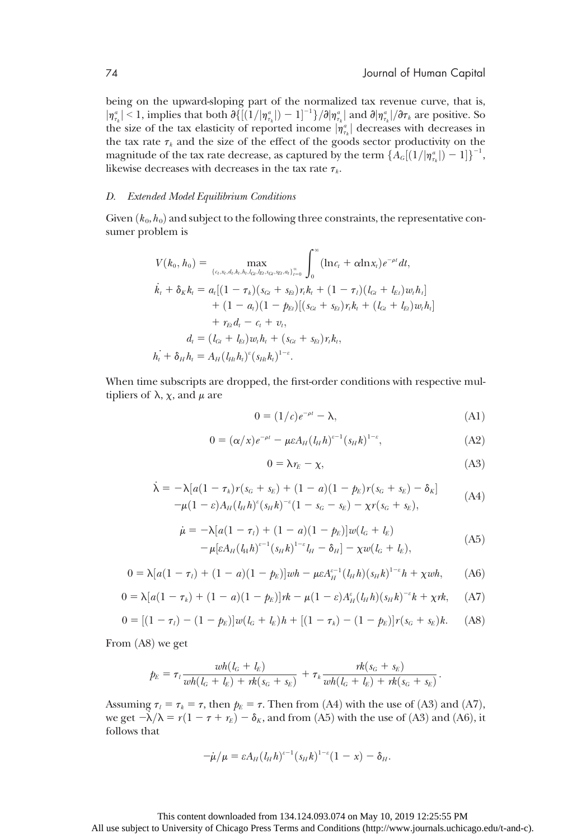being on the upward-sloping part of the normalized tax revenue curve, that is,  $|\eta_{nk}^a| < 1$ , implies that both  $\partial \{[(1/|\eta_{nk}^a|)-1]^{-1}\}/\partial |\eta_{nk}^a|$  and  $\partial |\eta_{nk}^a|/\partial \tau_k$  are positive. So the size of the tax elasticity of reported income  $|\eta_{i_k}^a|$  decreases with decreases in<br>the tax rate  $\tau_a$  and the size of the effect of the goods sector productivity on the the tax rate  $\tau_k$  and the size of the effect of the goods sector productivity on the magnitude of the tax rate decrease, as captured by the term  $\{A_c[(1/|\eta_{\tau_k}^a|)-1]\}^{-1}$ , likewise decreases with decreases in the tax rate  $\tau_k$ .

#### D. Extended Model Equilibrium Conditions

Given  $(k_0, h_0)$  and subject to the following three constraints, the representative consumer problem is

$$
V(k_0, h_0) = \max_{\{c_l, x_l, d_l, h_l, l_G, l_{El}, s_{Gl}, s_{Bl}, a_l\}_{l=0}^{\infty}} \int_0^{\infty} (\ln c_l + \alpha \ln x_l) e^{-\rho t} dt,
$$
  
\n
$$
\dot{k}_t + \delta_k k_t = a_t [(1 - \tau_k)(s_{Gt} + s_{Et})r_t k_t + (1 - \tau_l)(l_{Gt} + l_{Et})w_t h_t] + (1 - a_t)(1 - p_{Et})[(s_{Gt} + s_{Et})r_t k_t + (l_{Gt} + l_{Et})w_t h_t] + r_{Et} d_t - c_t + v_t,
$$
  
\n
$$
d_t = (l_{Gt} + l_{Et})w_t h_t + (s_{Gt} + s_{Et})r_t k_t,
$$
  
\n
$$
h_t + \delta_H h_t = A_H (l_{Ht} h_t)^{\varepsilon} (s_{Ht} k_t)^{1-\varepsilon}.
$$

When time subscripts are dropped, the first-order conditions with respective multipliers of  $\lambda$ ,  $\chi$ , and  $\mu$  are

$$
0 = (1/c)e^{-\rho t} - \lambda,
$$
\n(A1)

$$
0 = (\alpha/x)e^{-\rho t} - \mu\epsilon A_H (l_H h)^{s-1} (s_H h)^{1-s}, \tag{A2}
$$

$$
0 = \lambda r_E - \chi,\tag{A3}
$$

$$
\dot{\lambda} = -\lambda [a(1 - \tau_k)r(s_G + s_E) + (1 - a)(1 - p_E)r(s_G + s_E) - \delta_K]
$$
  
-
$$
\mu (1 - \varepsilon)A_H(t_H h)^{\varepsilon} (s_H h)^{-\varepsilon} (1 - s_G - s_E) - \chi r(s_G + s_E),
$$
 (A4)

$$
\dot{\mu} = -\lambda [a(1 - \tau_l) + (1 - a)(1 - p_E)]w(l_G + l_E) \n- \mu [eA_H(l_H h)^{e-1} (s_H k)^{1-e} l_H - \delta_H] - \chi w(l_G + l_E),
$$
\n(A5)

$$
0 = \lambda [a(1 - \tau_1) + (1 - a)(1 - p_E)]wh - \mu \varepsilon A_H^{k-1} (l_H h)(s_H h)^{1-k} h + \chi wh,
$$
 (A6)

$$
0 = \lambda [a(1 - \tau_k) + (1 - a)(1 - p_k)]\eta k - \mu (1 - \varepsilon) A^{\varepsilon}_{H}(l_H h)(s_H h)^{-\varepsilon} k + \chi \eta k, \quad (A7)
$$

$$
0 = [(1 - \tau_l) - (1 - p_E)]w(l_G + l_E)h + [(1 - \tau_k) - (1 - p_E)]r(s_G + s_E)k. \tag{A8}
$$

From  $(A8)$  we get

$$
p_E = \tau_l \frac{wh(l_G + l_E)}{wh(l_G + l_E) + rk(s_G + s_E)} + \tau_k \frac{rk(s_G + s_E)}{wh(l_G + l_E) + rk(s_G + s_E)}.
$$

Assuming  $\tau_l = \tau_k = \tau$ , then  $p_E = \tau$ . Then from (A4) with the use of (A3) and (A7), we get  $-\lambda/\lambda = r(1 - \tau + r_E) - \delta_K$ , and from (A5) with the use of (A3) and (A6), it follows that

$$
-\dot{\mu}/\mu = \varepsilon A_H (l_H h)^{c-1} (s_H h)^{1-c} (1-x) - \delta_H.
$$

#### This content downloaded from 134.124.093.074 on May 10, 2019 12:25:55 PM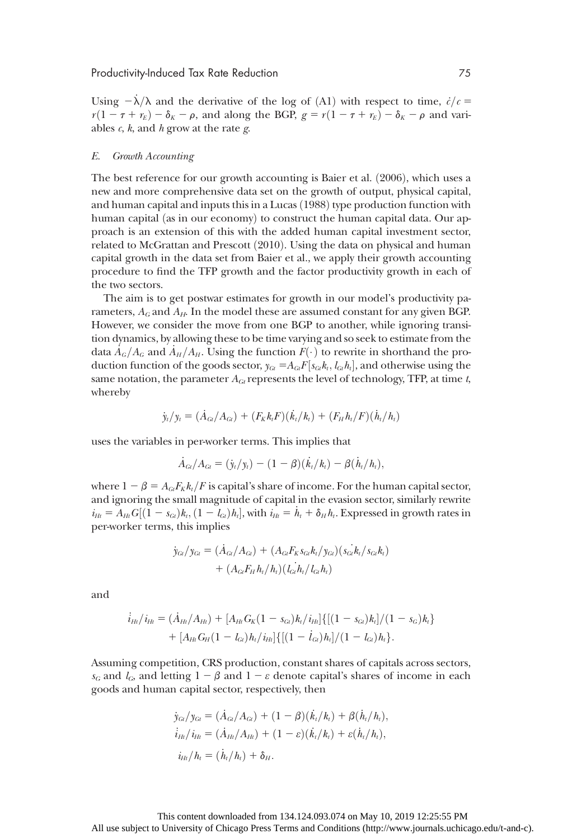Using  $-\lambda/\lambda$  and the derivative of the log of (A1) with respect to time,  $\dot{c}/c$  =  $r(1 - \tau + r_E) - \delta_K - \rho$ , and along the BGP,  $g = r(1 - \tau + r_E) - \delta_K - \rho$  and variables  $c$ ,  $k$ , and  $h$  grow at the rate  $g$ .

#### E. Growth Accounting

The best reference for our growth accounting is Baier et al.  $(2006)$ , which uses a new and more comprehensive data set on the growth of output, physical capital, and human capital and inputs this in a Lucas  $(1988)$  type production function with human capital (as in our economy) to construct the human capital data. Our approach is an extension of this with the added human capital investment sector, related to McGrattan and Prescott  $(2010)$ . Using the data on physical and human capital growth in the data set from Baier et al., we apply their growth accounting procedure to find the TFP growth and the factor productivity growth in each of the two sectors.

The aim is to get postwar estimates for growth in our model's productivity parameters,  $A_G$  and  $A_H$ . In the model these are assumed constant for any given BGP. However, we consider the move from one BGP to another, while ignoring transition dynamics, by allowing these to be time varying and so seek to estimate from the data  $A_G/A_G$  and  $A_H/A_H$ . Using the function  $F(\cdot)$  to rewrite in shorthand the pro-<br>duction function of the goods sector  $x_i = A$ ,  $F(s, b, l, h)$  and otherwise using the duction function of the goods sector,  $y_{Gi} = A_{Gi} F[s_{Gi} k_t, l_{Gi} h_t]$ , and otherwise using the same notation, the parameter 4, represents the level of technology. TEP at time t same notation, the parameter  $A_{Gt}$  represents the level of technology, TFP, at time t, whereby

$$
\dot{y}_t/y_t = (\dot{A}_{Gi}/A_{Gi}) + (F_K k_t F)(\dot{k}_t/k_t) + (F_H h_t/F)(\dot{h}_t/h_t)
$$

uses the variables in per-worker terms. This implies that

$$
\dot{A}_{Gi}/A_{Gi} = (\dot{y}_i/y_i) - (1 - \beta)(\dot{k}_i/k_i) - \beta(\dot{h}_i/h_i),
$$

where  $1 - \beta = A_{GI} F_K k_t/F$  is capital's share of income. For the human capital sector, and ignoring the small magnitude of capital in the evasion sector, similarly rewrite  $i_{H_t} = \tilde{A}_{H_t} G[(1 - s_{G_t})k_t, (1 - l_{G_t})h_t]$ , with  $i_{H_t} = \tilde{h}_t + \delta_H h_t$ . Expressed in growth rates in per-worker terms, this implies

$$
\dot{y}_{Gi}/y_{Gi} = (\dot{A}_{Gi}/A_{Gi}) + (A_{Gi}F_Ks_{Gi}k_t/y_{Gi})(s_{Gi}k_t/s_{Gi}k_t) + (A_{Gi}F_Hh_t/h_t)(l_{Gi}h_t/l_{Gi}h_t)
$$

and

$$
\begin{aligned} i_{H_l}/i_{H_l} &= (\dot{A}_{H_l}/A_{H_l}) + [A_{H_l}G_K(1-s_{G_l})k_l/i_{H_l}]\{[(1-s_{G_l})k_l]/(1-s_G)k_l\} \\ &+ [A_{H_l}G_H(1-l_{G_l})h_l/i_{H_l}]\{[(1-\dot{l}_{G_l})h_l]/(1-l_{G_l})h_l\}.\end{aligned}
$$

Assuming competition, CRS production, constant shares of capitals across sectors,  $s_G$  and  $l_G$ , and letting  $1 - \beta$  and  $1 - \varepsilon$  denote capital's shares of income in each goods and human capital sector, respectively, then

$$
\dot{y}_{Gi}/y_{Gi} = (\dot{A}_{Gi}/A_{Gi}) + (1 - \beta)(\dot{k}_i/k_i) + \beta(\dot{h}_i/h_i), \n\dot{i}_{Hi}/i_{Hi} = (\dot{A}_{Hi}/A_{Hi}) + (1 - \varepsilon)(\dot{k}_i/k_i) + \varepsilon(\dot{h}_i/h_i), \n\dot{i}_{Hi}/h_i = (\dot{h}_i/h_i) + \delta_{Hi}.
$$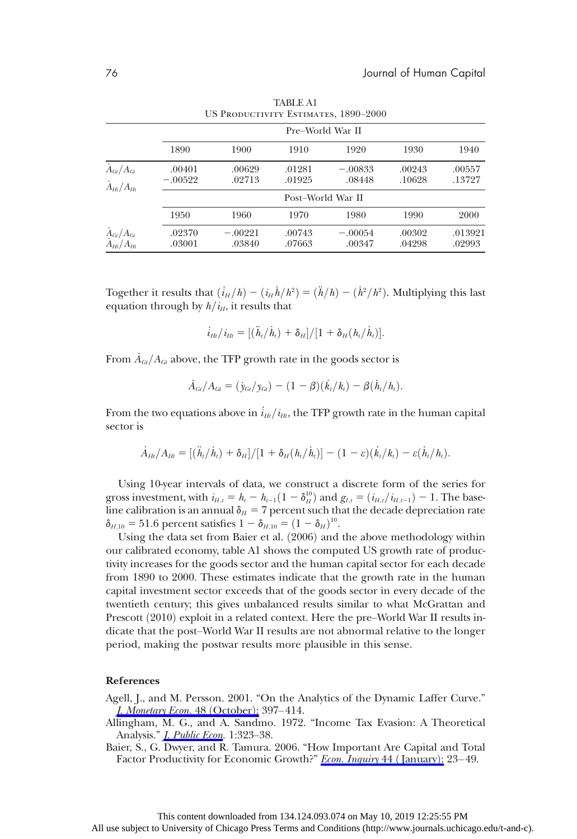|                                                        |                     | US PRODUCTIVITY ESTIMATES, 1890-2000 |                  |                     |                  |                   |  |  |  |  |
|--------------------------------------------------------|---------------------|--------------------------------------|------------------|---------------------|------------------|-------------------|--|--|--|--|
|                                                        |                     |                                      | Pre-World War II |                     |                  |                   |  |  |  |  |
|                                                        | 1890                | 1900                                 | 1910             | 1920                | 1930             | 1940              |  |  |  |  |
| $A_{\text{G1}}/A_{\text{G1}}$<br>$\dot{A}_{Ht}/A_{Ht}$ | .00401<br>$-.00522$ | .00629<br>.02713                     | .01281<br>.01925 | $-.00833$<br>.08448 | .00243<br>.10628 | .00557<br>.13727  |  |  |  |  |
|                                                        | Post-World War II   |                                      |                  |                     |                  |                   |  |  |  |  |
|                                                        | 1950                | 1960                                 | 1970             | 1980                | 1990             | 2000              |  |  |  |  |
| $A_{\text{Gt}}/A_{\text{Gt}}$<br>$A_{Hl}/A_{Hl}$       | .02370<br>.03001    | $-.00221$<br>.03840                  | .00743<br>.07663 | $-.00054$<br>.00347 | .00302<br>.04298 | .013921<br>.02993 |  |  |  |  |

TABLE A1

Together it results that  $(i_H/h) - (i_H \dot{h}/h^2) = (\ddot{h}/h) - (\dot{h}^2/h^2)$ . Multiplying this last equation through by  $h/i_H$ , it results that

$$
\dot{i}_{Ht}/i_{Ht}=[(\ddot{h}_t/\dot{h}_t)+\delta_H]/[1+\delta_H(h_t/\dot{h}_t)].
$$

From  $\dot{A}_{Gt}/A_{Gt}$  above, the TFP growth rate in the goods sector is

$$
\dot{A}_{Gi}/A_{Gi} = (\dot{y}_{Gi}/y_{Gi}) - (1 - \beta)(\dot{k}_i/k_i) - \beta(\dot{h}_i/h_i).
$$

From the two equations above in  $\dot{i}_{Ht}/i_{Ht}$ , the TFP growth rate in the human capital sector is

$$
\dot{A}_{Hl}/A_{Hl} = [(\ddot{h}_l/\dot{h}_l) + \delta_{H}]/[1 + \delta_{H}(h_l/\dot{h}_l)] - (1 - \varepsilon)(\dot{k}_l/k_l) - \varepsilon(\dot{h}_l/h_l).
$$

Using 10-year intervals of data, we construct a discrete form of the series for gross investment, with  $i_{H,t} = h_t - h_{t-1}(1 - \delta_H^{10})$  and  $g_{I,t} = (i_{H,t}/i_{H,t-1}) - 1$ . The base-<br>line calibration is an annual  $\delta = 7$  percent such that the decade depreciation rate line calibration is an annual  $\delta_H = 7$  percent such that the decade depreciation rate  $\delta_{H,10} = 51.6$  percent satisfies  $1 - \delta_{H,10} = (1 - \delta_H)^{10}$ .<br>Lising the data set from Bajer et al. (2006) and

Using the data set from Baier et al. (2006) and the above methodology within our calibrated economy, table A1 shows the computed US growth rate of productivity increases for the goods sector and the human capital sector for each decade from 1890 to 2000. These estimates indicate that the growth rate in the human capital investment sector exceeds that of the goods sector in every decade of the twentieth century; this gives unbalanced results similar to what McGrattan and Prescott (2010) exploit in a related context. Here the pre–World War II results indicate that the post–World War II results are not abnormal relative to the longer period, making the postwar results more plausible in this sense.

#### References

- Agell, J., and M. Persson. 2001. "On the Analytics of the Dynamic Laffer Curve." [J. Monetary Econ.](https://www.journals.uchicago.edu/action/showLinks?doi=10.1086%2F675328&crossref=10.1016%2FS0304-3932%2801%2900074-5&citationId=p_23) 48 (October): 397–414.
- Allingham, M. G., and A. Sandmo. 1972. "Income Tax Evasion: A Theoretical Analysis." *I. Public Econ.* 1:323-38.
- Baier, S., G. Dwyer, and R. Tamura. 2006. "How Important Are Capital and Total Factor Productivity for Economic Growth?" [Econ. Inquiry](https://www.journals.uchicago.edu/action/showLinks?doi=10.1086%2F675328&crossref=10.1093%2Fei%2Fcbj003&citationId=p_25) 44 (January): 23–49.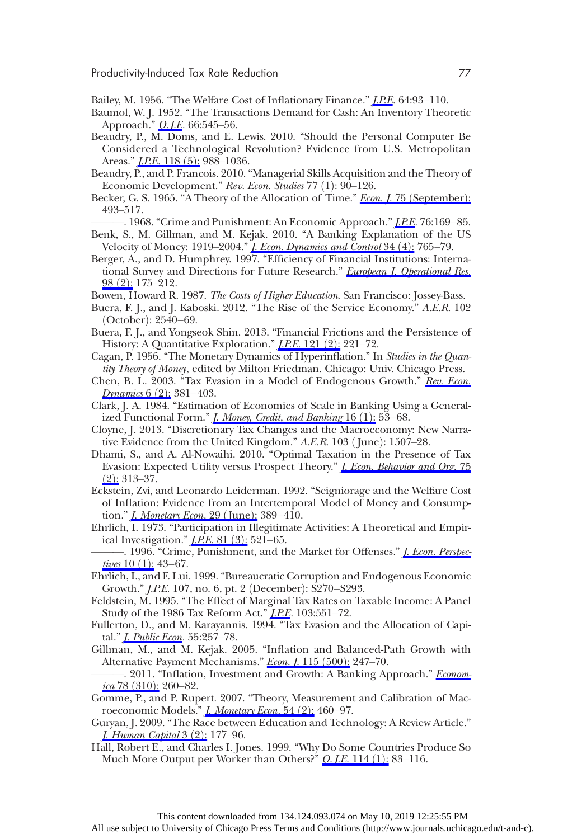- Bailey, M. 1956. "The Welfare Cost of Inflationary Finance." *[J.P.E.](https://www.journals.uchicago.edu/action/showLinks?doi=10.1086%2F675328&system=10.1086%2F257766&citationId=p_26)* 64:93-110.
- Baumol, W. J. 1952. "The Transactions Demand for Cash: An Inventory Theoretic Approach." *O. J.E.* 66:545–56.
- Beaudry, P., M. Doms, and E. Lewis. 2010. "Should the Personal Computer Be Considered a Technological Revolution? Evidence from U.S. Metropolitan Areas." *[J.P.E.](https://www.journals.uchicago.edu/action/showLinks?doi=10.1086%2F675328&system=10.1086%2F658371&citationId=p_28)* 118 (5): 988-1036.
- Beaudry, P., and P. Francois. 2010. "Managerial Skills Acquisition and the Theory of Economic Development." Rev. Econ. Studies 77 (1): 90-126.
- Becker, G. S. 1965. "A Theory of the Allocation of Time." *Econ. J.* 75 ([September](https://www.journals.uchicago.edu/action/showLinks?doi=10.1086%2F675328&crossref=10.2307%2F2228949&citationId=p_30)): 493–517.

-. 1968. "Crime and Punishment: An Economic Approach." *[J.P.E.](https://www.journals.uchicago.edu/action/showLinks?doi=10.1086%2F675328&system=10.1086%2F259394&citationId=p_31)* 76:169–85.

- Benk, S., M. Gillman, and M. Kejak. 2010. "A Banking Explanation of the US Velocity of Money: 1919–2004." *[J. Econ. Dynamics and Control](https://www.journals.uchicago.edu/action/showLinks?doi=10.1086%2F675328&crossref=10.1016%2Fj.jedc.2009.11.005&citationId=p_32)* 34 (4): 765–79.
- Berger, A., and D. Humphrey. 1997. "Efficiency of Financial Institutions: International Survey and Directions for Future Research." [European J. Operational Res.](https://www.journals.uchicago.edu/action/showLinks?doi=10.1086%2F675328&crossref=10.1016%2FS0377-2217%2896%2900342-6&citationId=p_33) [98](https://www.journals.uchicago.edu/action/showLinks?doi=10.1086%2F675328&crossref=10.1016%2FS0377-2217%2896%2900342-6&citationId=p_33) (2): 175–212.
- Bowen, Howard R. 1987. The Costs of Higher Education. San Francisco: Jossey-Bass.
- Buera, F. J., and J. Kaboski. 2012. "The Rise of the Service Economy." A.E.R. 102  $(October): 2540-69.$
- Buera, F. J., and Yongseok Shin. 2013. "Financial Frictions and the Persistence of History: A Quantitative Exploration." *[J.P.E.](https://www.journals.uchicago.edu/action/showLinks?doi=10.1086%2F675328&system=10.1086%2F670271&citationId=p_36)* 121 (2): 221-72.
- Cagan, P. 1956. "The Monetary Dynamics of Hyperinflation." In Studies in the Quantity Theory of Money, edited by Milton Friedman. Chicago: Univ. Chicago Press.
- Chen, B. L. 2003. "Tax Evasion in a Model of Endogenous Growth." [Rev. Econ.](https://www.journals.uchicago.edu/action/showLinks?doi=10.1086%2F675328&crossref=10.1016%2FS1094-2025%2803%2900002-4&citationId=p_38) [Dynamics](https://www.journals.uchicago.edu/action/showLinks?doi=10.1086%2F675328&crossref=10.1016%2FS1094-2025%2803%2900002-4&citationId=p_38)  $6(2)$ : 381–403.
- Clark, J. A. 1984. "Estimation of Economies of Scale in Banking Using a Generalized Functional Form." *[J. Money, Credit, and Banking](https://www.journals.uchicago.edu/action/showLinks?doi=10.1086%2F675328&crossref=10.2307%2F1992648&citationId=p_39)* 16 (1): 53–68.
- Cloyne, J. 2013. "Discretionary Tax Changes and the Macroeconomy: New Narrative Evidence from the United Kingdom."  $A.E.R.$  103 (June): 1507–28.
- Dhami, S., and A. Al-Nowaihi. 2010. "Optimal Taxation in the Presence of Tax Evasion: Expected Utility versus Prospect Theory." *I. Econ. Behavior and Org.* 75  $(2)$  $(2)$  $(2)$ : 313–37.
- Eckstein, Zvi, and Leonardo Leiderman. 1992. "Seigniorage and the Welfare Cost of Inflation: Evidence from an Intertemporal Model of Money and Consumption." *[J. Monetary Econ.](https://www.journals.uchicago.edu/action/showLinks?doi=10.1086%2F675328&crossref=10.1016%2F0304-3932%2892%2990033-X&citationId=p_42)* 29 (June): 389–410.
- Ehrlich, I. 1973. "Participation in Illegitimate Activities: A Theoretical and Empirical Investigation." *[J.P.E.](https://www.journals.uchicago.edu/action/showLinks?doi=10.1086%2F675328&system=10.1086%2F260058&citationId=p_43)* 81 (3): 521-65.
- -. 1996. "Crime, Punishment, and the Market for Offenses." *I. Econ. Perspec*[tives](https://www.journals.uchicago.edu/action/showLinks?doi=10.1086%2F675328&crossref=10.1257%2Fjep.10.1.43&citationId=p_44)  $10(1)$ : 43–67.
- Ehrlich, I., and F. Lui. 1999. "Bureaucratic Corruption and Endogenous Economic Growth." *J.P.E.* 107, no. 6, pt. 2 (December): S270–S293.
- Feldstein, M. 1995. "The Effect of Marginal Tax Rates on Taxable Income: A Panel Study of the 1986 Tax Reform Act." *I.P.E.* 103:551-72.
- Fullerton, D., and M. Karayannis. 1994. "Tax Evasion and the Allocation of Capital." *J. Public Econ*. 55:257-78.
- Gillman, M., and M. Kejak. 2005. "Inflation and Balanced-Path Growth with Alternative Payment Mechanisms." Econ. I. 115 (500): 247-70.
- -. 2011. "Inflation, Investment and Growth: A Banking Approach." [Econom-](https://www.journals.uchicago.edu/action/showLinks?doi=10.1086%2F675328&crossref=10.1111%2Fj.1468-0335.2009.00814.x&citationId=p_49) $ica 78 (310): 260-82.$  $ica 78 (310): 260-82.$  $ica 78 (310): 260-82.$
- Gomme, P., and P. Rupert. 2007. "Theory, Measurement and Calibration of Macroeconomic Models." *[J. Monetary Econ.](https://www.journals.uchicago.edu/action/showLinks?doi=10.1086%2F675328&crossref=10.1016%2Fj.jmoneco.2005.09.005&citationId=p_50)* 54 (2): 460–97.
- Guryan, J. 2009. "The Race between Education and Technology: A Review Article." I. Human Capital 3 (2): 177-96.
- Hall, Robert E., and Charles I. Jones. 1999. "Why Do Some Countries Produce So Much More Output per Worker than Others?" O. *J.E.* 114 (1): 83-116.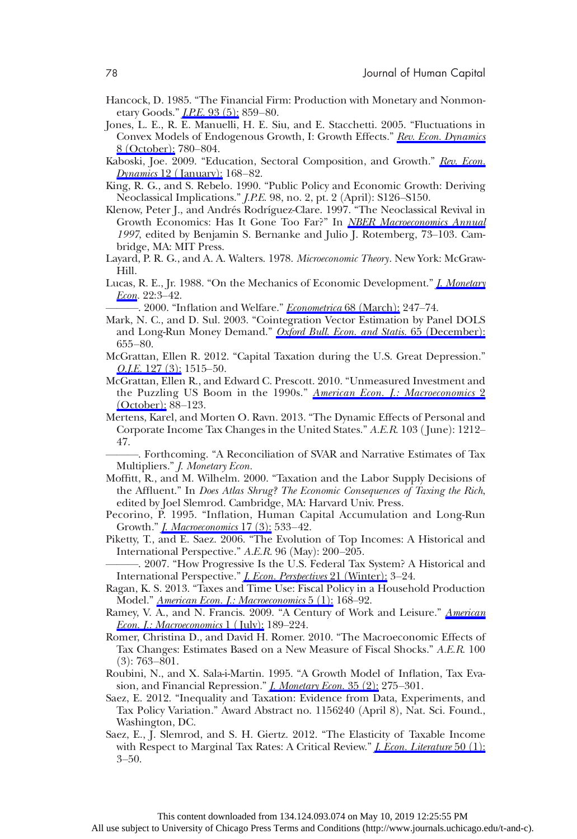- Hancock, D. 1985. "The Financial Firm: Production with Monetary and Nonmonetary Goods." *[J.P.E.](https://www.journals.uchicago.edu/action/showLinks?doi=10.1086%2F675328&system=10.1086%2F261339&citationId=p_53)* 93 (5): 859–80.
- Jones, L. E., R. E. Manuelli, H. E. Siu, and E. Stacchetti. 2005. "Fluctuations in Convex Models of Endogenous Growth, I: Growth Effects." [Rev. Econ. Dynamics](https://www.journals.uchicago.edu/action/showLinks?doi=10.1086%2F675328&crossref=10.1016%2Fj.red.2005.05.004&citationId=p_54) 8 ([October](https://www.journals.uchicago.edu/action/showLinks?doi=10.1086%2F675328&crossref=10.1016%2Fj.red.2005.05.004&citationId=p_54)): 780–804.
- Kaboski, Joe. 2009. "Education, Sectoral Composition, and Growth." [Rev. Econ.](https://www.journals.uchicago.edu/action/showLinks?doi=10.1086%2F675328&crossref=10.1016%2Fj.red.2008.07.003&citationId=p_55) *[Dynamics](https://www.journals.uchicago.edu/action/showLinks?doi=10.1086%2F675328&crossref=10.1016%2Fj.red.2008.07.003&citationId=p_55)* 12 (January): 168–82.
- King, R. G., and S. Rebelo. 1990. "Public Policy and Economic Growth: Deriving Neoclassical Implications." *J.P.E.* 98, no. 2, pt. 2 (April): S126–S150.
- Klenow, Peter J., and Andrés Rodríguez-Clare. 1997. "The Neoclassical Revival in Growth Economics: Has It Gone Too Far?" In [NBER Macroeconomics Annual](https://www.journals.uchicago.edu/action/showLinks?doi=10.1086%2F675328&system=10.1086%2F654324&citationId=p_57) 1997, edited by Benjamin S. Bernanke and Julio J. Rotemberg, 73–103. Cambridge, MA: MIT Press.
- Layard, P. R. G., and A. A. Walters. 1978. Microeconomic Theory. New York: McGraw-Hill.
- Lucas, R. E., Jr. 1988. "On the Mechanics of Economic Development." [J. Monetary](https://www.journals.uchicago.edu/action/showLinks?doi=10.1086%2F675328&crossref=10.1016%2F0304-3932%2888%2990168-7&citationId=p_59) [Econ.](https://www.journals.uchicago.edu/action/showLinks?doi=10.1086%2F675328&crossref=10.1016%2F0304-3932%2888%2990168-7&citationId=p_59) 22:3-42.

-. 2000. "Inflation and Welfare." *[Econometrica](https://www.journals.uchicago.edu/action/showLinks?doi=10.1086%2F675328&crossref=10.1111%2F1468-0262.00109&citationId=p_60)* 68 (March): 247–74.

- Mark, N. C., and D. Sul. 2003. "Cointegration Vector Estimation by Panel DOLS and Long-Run Money Demand." [Oxford Bull. Econ. and Statis.](https://www.journals.uchicago.edu/action/showLinks?doi=10.1086%2F675328&crossref=10.1111%2Fj.1468-0084.2003.00066.x&citationId=p_61) 65 (December): 655–80.
- McGrattan, Ellen R. 2012. "Capital Taxation during the U.S. Great Depression."  $Q.I.E. 127 (3): 1515-50.$
- McGrattan, Ellen R., and Edward C. Prescott. 2010. "Unmeasured Investment and the Puzzling US Boom in the 1990s." [American Econ. J.: Macroeconomics](https://www.journals.uchicago.edu/action/showLinks?doi=10.1086%2F675328&crossref=10.1257%2Fmac.2.4.88&citationId=p_63) 2 <u>([October](https://www.journals.uchicago.edu/action/showLinks?doi=10.1086%2F675328&crossref=10.1257%2Fmac.2.4.88&citationId=p_63)):</u> 88–123.
- Mertens, Karel, and Morten O. Ravn. 2013. "The Dynamic Effects of Personal and Corporate Income Tax Changes in the United States." A.E.R. 103 (June): 1212– 47.

———. Forthcoming. "A Reconciliation of SVAR and Narrative Estimates of Tax Multipliers." *J. Monetary Econ.* 

- Moffitt, R., and M. Wilhelm. 2000. "Taxation and the Labor Supply Decisions of the Affluent." In Does Atlas Shrug? The Economic Consequences of Taxing the Rich, edited by Joel Slemrod. Cambridge, MA: Harvard Univ. Press.
- Pecorino, P. 1995. "Inflation, Human Capital Accumulation and Long-Run Growth." *[J. Macroeconomics](https://www.journals.uchicago.edu/action/showLinks?doi=10.1086%2F675328&crossref=10.1016%2F0164-0704%2895%2980067-0&citationId=p_67)* 17 (3): 533-42.
- Piketty, T., and E. Saez. 2006. "The Evolution of Top Incomes: A Historical and International Perspective." A.E.R. 96 (May): 200-205.
- . 2007. "How Progressive Is the U.S. Federal Tax System? A Historical and International Perspective." *[J. Econ. Perspectives](https://www.journals.uchicago.edu/action/showLinks?doi=10.1086%2F675328&crossref=10.1257%2Fjep.21.1.3&citationId=p_69)* 21 (Winter): 3–24.
- Ragan, K. S. 2013. "Taxes and Time Use: Fiscal Policy in a Household Production Model." [American Econ. J.: Macroeconomics](https://www.journals.uchicago.edu/action/showLinks?doi=10.1086%2F675328&crossref=10.1257%2Fmac.5.1.168&citationId=p_70) 5 (1): 168–92.
- Ramey, V. A., and N. Francis. 2009. "A Century of Work and Leisure." [American](https://www.journals.uchicago.edu/action/showLinks?doi=10.1086%2F675328&crossref=10.1257%2Fmac.1.2.189&citationId=p_71) [Econ. J.: Macroeconomics](https://www.journals.uchicago.edu/action/showLinks?doi=10.1086%2F675328&crossref=10.1257%2Fmac.1.2.189&citationId=p_71) 1 (July): 189-224.
- Romer, Christina D., and David H. Romer. 2010. "The Macroeconomic Effects of Tax Changes: Estimates Based on a New Measure of Fiscal Shocks." A.E.R. 100  $(3)$ : 763–801.
- Roubini, N., and X. Sala-i-Martin. 1995. "A Growth Model of Inflation, Tax Evasion, and Financial Repression." *[J. Monetary Econ.](https://www.journals.uchicago.edu/action/showLinks?doi=10.1086%2F675328&crossref=10.1016%2F0304-3932%2895%2901192-Q&citationId=p_73)* 35 (2): 275-301.
- Saez, E. 2012. "Inequality and Taxation: Evidence from Data, Experiments, and Tax Policy Variation." Award Abstract no. 1156240 (April 8), Nat. Sci. Found., Washington, DC.
- Saez, E., J. Slemrod, and S. H. Giertz. 2012. "The Elasticity of Taxable Income with Respect to Marginal Tax Rates: A Critical Review." *[J. Econ. Literature](https://www.journals.uchicago.edu/action/showLinks?doi=10.1086%2F675328&crossref=10.1257%2Fjel.50.1.3&citationId=p_75)* 50 (1): 3–50.